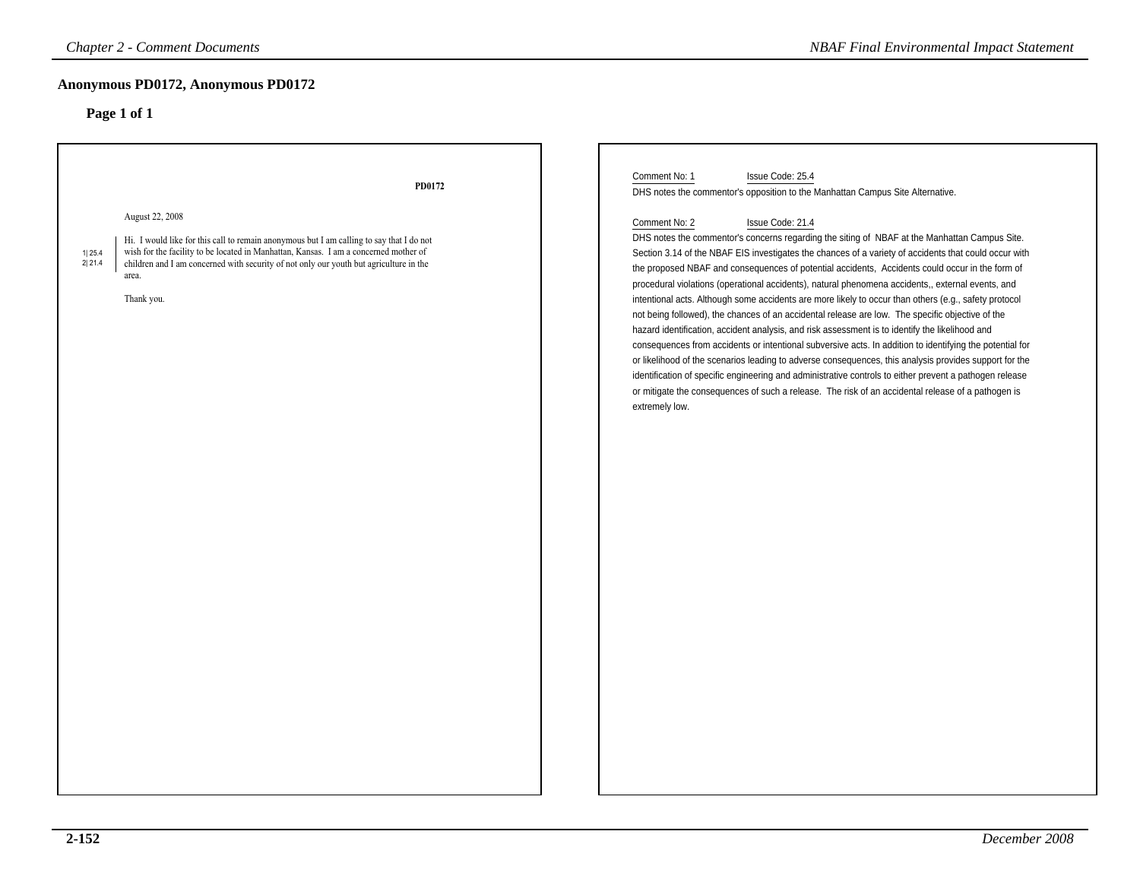| <b>Chapter 2 - Comment Documents</b>                                                                                                                                                                                                                                                                                                               | <b>NBAF Final Environmental Impact Statement</b>                                                                                                                                                                                                                                                                                                                                                                                                                                                                                                                                                                                                                                                                                                                                                                                                                                                                                                                                                                                                                                                                                                                                                                                                                                                                                                    |
|----------------------------------------------------------------------------------------------------------------------------------------------------------------------------------------------------------------------------------------------------------------------------------------------------------------------------------------------------|-----------------------------------------------------------------------------------------------------------------------------------------------------------------------------------------------------------------------------------------------------------------------------------------------------------------------------------------------------------------------------------------------------------------------------------------------------------------------------------------------------------------------------------------------------------------------------------------------------------------------------------------------------------------------------------------------------------------------------------------------------------------------------------------------------------------------------------------------------------------------------------------------------------------------------------------------------------------------------------------------------------------------------------------------------------------------------------------------------------------------------------------------------------------------------------------------------------------------------------------------------------------------------------------------------------------------------------------------------|
| Anonymous PD0172, Anonymous PD0172<br>Page 1 of 1                                                                                                                                                                                                                                                                                                  |                                                                                                                                                                                                                                                                                                                                                                                                                                                                                                                                                                                                                                                                                                                                                                                                                                                                                                                                                                                                                                                                                                                                                                                                                                                                                                                                                     |
| PD0172<br>August 22, 2008<br>Hi. I would like for this call to remain anonymous but I am calling to say that I do not<br>wish for the facility to be located in Manhattan, Kansas. I am a concerned mother of<br>1 25.4<br>2 21.4<br>children and I am concerned with security of not only our youth but agriculture in the<br>area.<br>Thank you. | Comment No: 1<br>Issue Code: 25.4<br>DHS notes the commentor's opposition to the Manhattan Campus Site Alternative.<br>Comment No: 2<br>Issue Code: 21.4<br>DHS notes the commentor's concerns regarding the siting of NBAF at the Manhattan Campus Site.<br>Section 3.14 of the NBAF EIS investigates the chances of a variety of accidents that could occur with<br>the proposed NBAF and consequences of potential accidents, Accidents could occur in the form of<br>procedural violations (operational accidents), natural phenomena accidents,, external events, and<br>intentional acts. Although some accidents are more likely to occur than others (e.g., safety protocol<br>not being followed), the chances of an accidental release are low. The specific objective of the<br>hazard identification, accident analysis, and risk assessment is to identify the likelihood and<br>consequences from accidents or intentional subversive acts. In addition to identifying the potential for<br>or likelihood of the scenarios leading to adverse consequences, this analysis provides support for the<br>identification of specific engineering and administrative controls to either prevent a pathogen release<br>or mitigate the consequences of such a release. The risk of an accidental release of a pathogen is<br>extremely low. |
|                                                                                                                                                                                                                                                                                                                                                    |                                                                                                                                                                                                                                                                                                                                                                                                                                                                                                                                                                                                                                                                                                                                                                                                                                                                                                                                                                                                                                                                                                                                                                                                                                                                                                                                                     |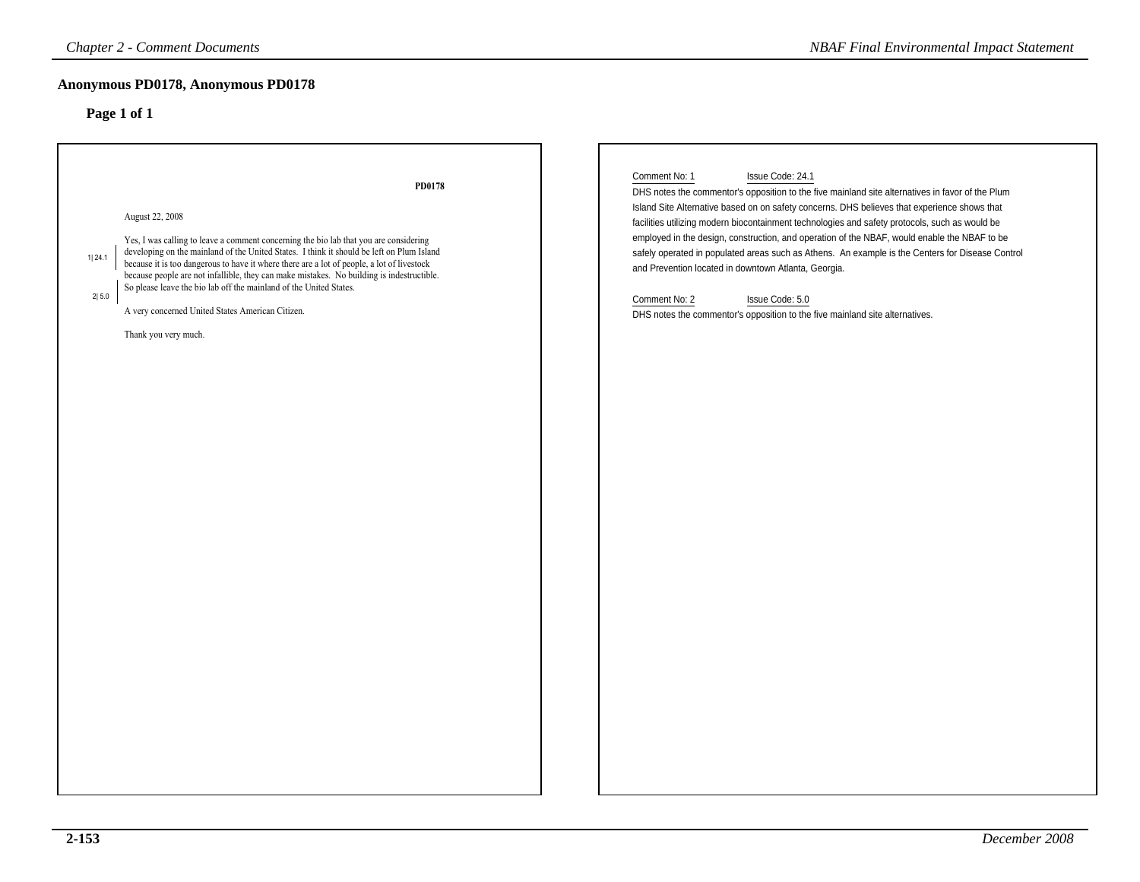| <b>Chapter 2 - Comment Documents</b>                                                                                                                                                                                                                                                                                                                                                                                                                                                                                                                                            | <b>NBAF Final Environmental Impact Statement</b>                                                                                                                                                                                                                                                                                                                                                                                                                                                                                                                                                                                                                                                                        |
|---------------------------------------------------------------------------------------------------------------------------------------------------------------------------------------------------------------------------------------------------------------------------------------------------------------------------------------------------------------------------------------------------------------------------------------------------------------------------------------------------------------------------------------------------------------------------------|-------------------------------------------------------------------------------------------------------------------------------------------------------------------------------------------------------------------------------------------------------------------------------------------------------------------------------------------------------------------------------------------------------------------------------------------------------------------------------------------------------------------------------------------------------------------------------------------------------------------------------------------------------------------------------------------------------------------------|
| Anonymous PD0178, Anonymous PD0178                                                                                                                                                                                                                                                                                                                                                                                                                                                                                                                                              |                                                                                                                                                                                                                                                                                                                                                                                                                                                                                                                                                                                                                                                                                                                         |
| Page 1 of 1                                                                                                                                                                                                                                                                                                                                                                                                                                                                                                                                                                     |                                                                                                                                                                                                                                                                                                                                                                                                                                                                                                                                                                                                                                                                                                                         |
| PD0178<br>August 22, 2008<br>Yes, I was calling to leave a comment concerning the bio lab that you are considering<br>developing on the mainland of the United States. I think it should be left on Plum Island<br>1 24.1<br>because it is too dangerous to have it where there are a lot of people, a lot of livestock<br>because people are not infallible, they can make mistakes. No building is indestructible.<br>So please leave the bio lab off the mainland of the United States.<br>2 5.0<br>A very concerned United States American Citizen.<br>Thank you very much. | Comment No: 1<br>Issue Code: 24.1<br>DHS notes the commentor's opposition to the five mainland site alternatives in favor of the Plum<br>Island Site Alternative based on on safety concerns. DHS believes that experience shows that<br>facilities utilizing modern biocontainment technologies and safety protocols, such as would be<br>employed in the design, construction, and operation of the NBAF, would enable the NBAF to be<br>safely operated in populated areas such as Athens. An example is the Centers for Disease Control<br>and Prevention located in downtown Atlanta, Georgia.<br>Comment No: 2<br>Issue Code: 5.0<br>DHS notes the commentor's opposition to the five mainland site alternatives. |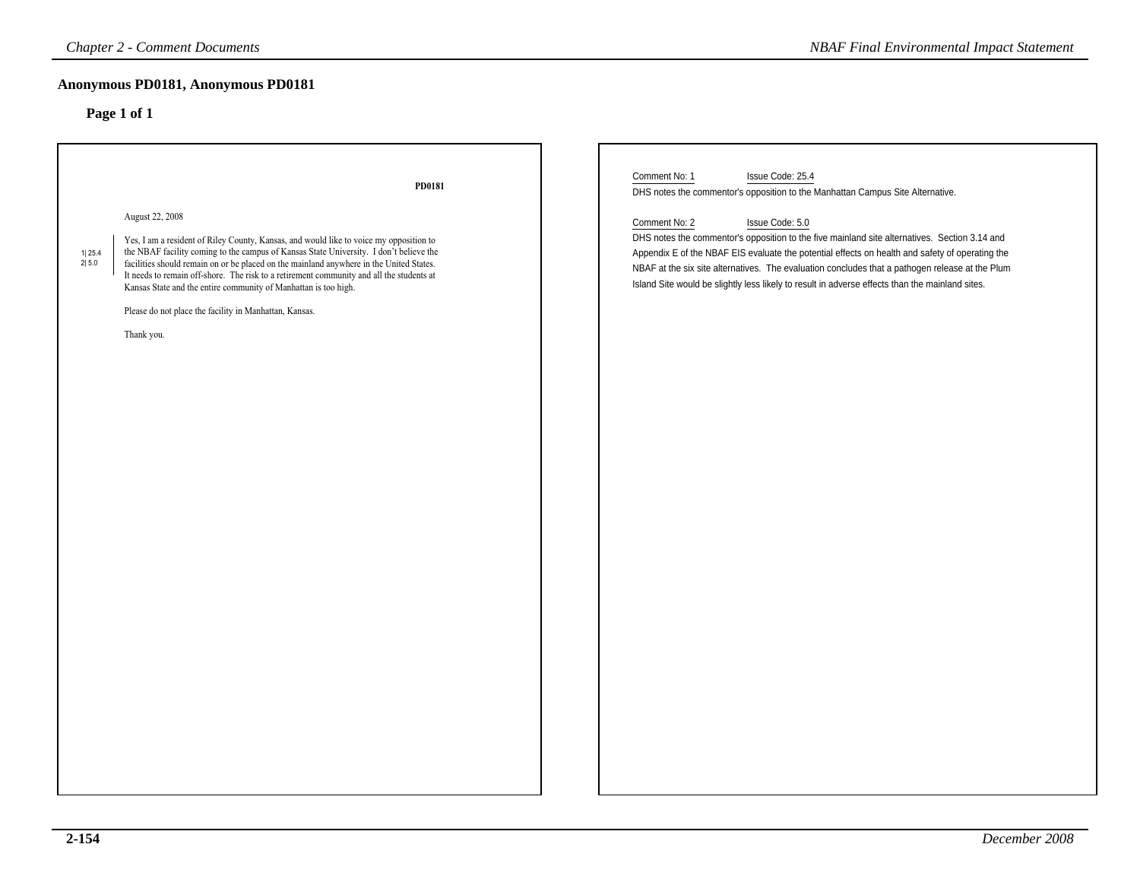### **Anonymous PD0181, Anonymous PD0181**

| <b>Chapter 2 - Comment Documents</b>                                                                                                                                                                                                                                                                                                                                                                                                                                                                                                                                                    | <b>NBAF Final Environmental Impact Statement</b>                                                                                                                                                                                                                                                                                                                                                                                           |
|-----------------------------------------------------------------------------------------------------------------------------------------------------------------------------------------------------------------------------------------------------------------------------------------------------------------------------------------------------------------------------------------------------------------------------------------------------------------------------------------------------------------------------------------------------------------------------------------|--------------------------------------------------------------------------------------------------------------------------------------------------------------------------------------------------------------------------------------------------------------------------------------------------------------------------------------------------------------------------------------------------------------------------------------------|
| Anonymous PD0181, Anonymous PD0181                                                                                                                                                                                                                                                                                                                                                                                                                                                                                                                                                      |                                                                                                                                                                                                                                                                                                                                                                                                                                            |
| Page 1 of 1                                                                                                                                                                                                                                                                                                                                                                                                                                                                                                                                                                             |                                                                                                                                                                                                                                                                                                                                                                                                                                            |
| PD0181                                                                                                                                                                                                                                                                                                                                                                                                                                                                                                                                                                                  | Comment No: 1<br>Issue Code: 25.4<br>DHS notes the commentor's opposition to the Manhattan Campus Site Alternative.                                                                                                                                                                                                                                                                                                                        |
| August 22, 2008<br>Yes, I am a resident of Riley County, Kansas, and would like to voice my opposition to<br>the NBAF facility coming to the campus of Kansas State University. I don't believe the<br>$\begin{array}{c} 1 25.4 \\ 2 5.0 \end{array}$<br>facilities should remain on or be placed on the mainland anywhere in the United States.<br>It needs to remain off-shore. The risk to a retirement community and all the students at<br>Kansas State and the entire community of Manhattan is too high.<br>Please do not place the facility in Manhattan, Kansas.<br>Thank you. | Issue Code: 5.0<br>Comment No: 2<br>DHS notes the commentor's opposition to the five mainland site alternatives. Section 3.14 and<br>Appendix E of the NBAF EIS evaluate the potential effects on health and safety of operating the<br>NBAF at the six site alternatives. The evaluation concludes that a pathogen release at the Plum<br>Island Site would be slightly less likely to result in adverse effects than the mainland sites. |
|                                                                                                                                                                                                                                                                                                                                                                                                                                                                                                                                                                                         |                                                                                                                                                                                                                                                                                                                                                                                                                                            |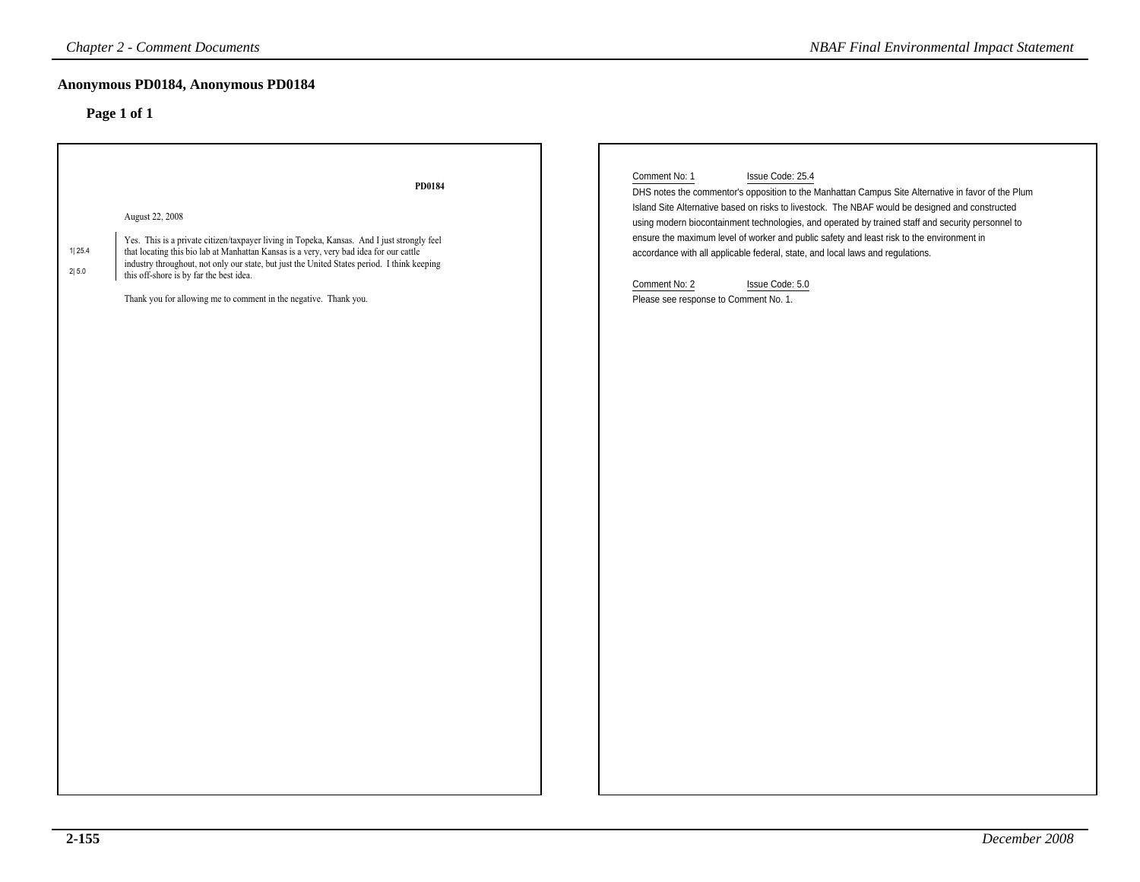### **Anonymous PD0184, Anonymous PD0184**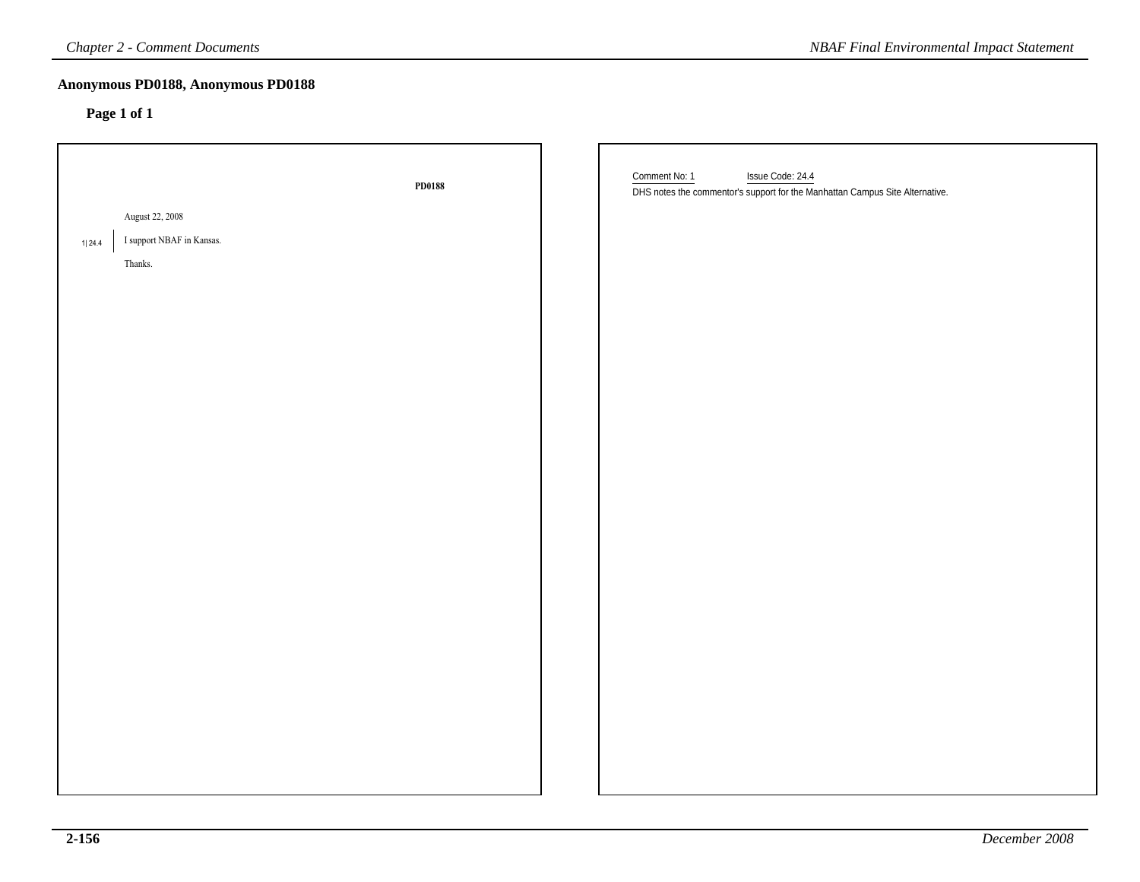| <b>Chapter 2 - Comment Documents</b><br><b>NBAF Final Environmental Impact Statement</b> |        |                                                                                                                   |  |
|------------------------------------------------------------------------------------------|--------|-------------------------------------------------------------------------------------------------------------------|--|
| Anonymous PD0188, Anonymous PD0188<br>Page 1 of 1                                        |        |                                                                                                                   |  |
|                                                                                          | PD0188 | Comment No: 1<br>Issue Code: 24.4<br>DHS notes the commentor's support for the Manhattan Campus Site Alternative. |  |
| August 22, 2008                                                                          |        |                                                                                                                   |  |
| I support NBAF in Kansas.<br>1 24.4                                                      |        |                                                                                                                   |  |
| Thanks.                                                                                  |        |                                                                                                                   |  |
|                                                                                          |        |                                                                                                                   |  |
|                                                                                          |        |                                                                                                                   |  |
|                                                                                          |        |                                                                                                                   |  |
|                                                                                          |        |                                                                                                                   |  |
|                                                                                          |        |                                                                                                                   |  |
|                                                                                          |        |                                                                                                                   |  |
|                                                                                          |        |                                                                                                                   |  |
|                                                                                          |        |                                                                                                                   |  |
|                                                                                          |        |                                                                                                                   |  |
|                                                                                          |        |                                                                                                                   |  |
|                                                                                          |        |                                                                                                                   |  |
|                                                                                          |        |                                                                                                                   |  |
|                                                                                          |        |                                                                                                                   |  |
|                                                                                          |        |                                                                                                                   |  |
|                                                                                          |        |                                                                                                                   |  |
|                                                                                          |        |                                                                                                                   |  |
|                                                                                          |        |                                                                                                                   |  |
|                                                                                          |        |                                                                                                                   |  |
|                                                                                          |        |                                                                                                                   |  |
|                                                                                          |        |                                                                                                                   |  |
|                                                                                          |        |                                                                                                                   |  |
|                                                                                          |        |                                                                                                                   |  |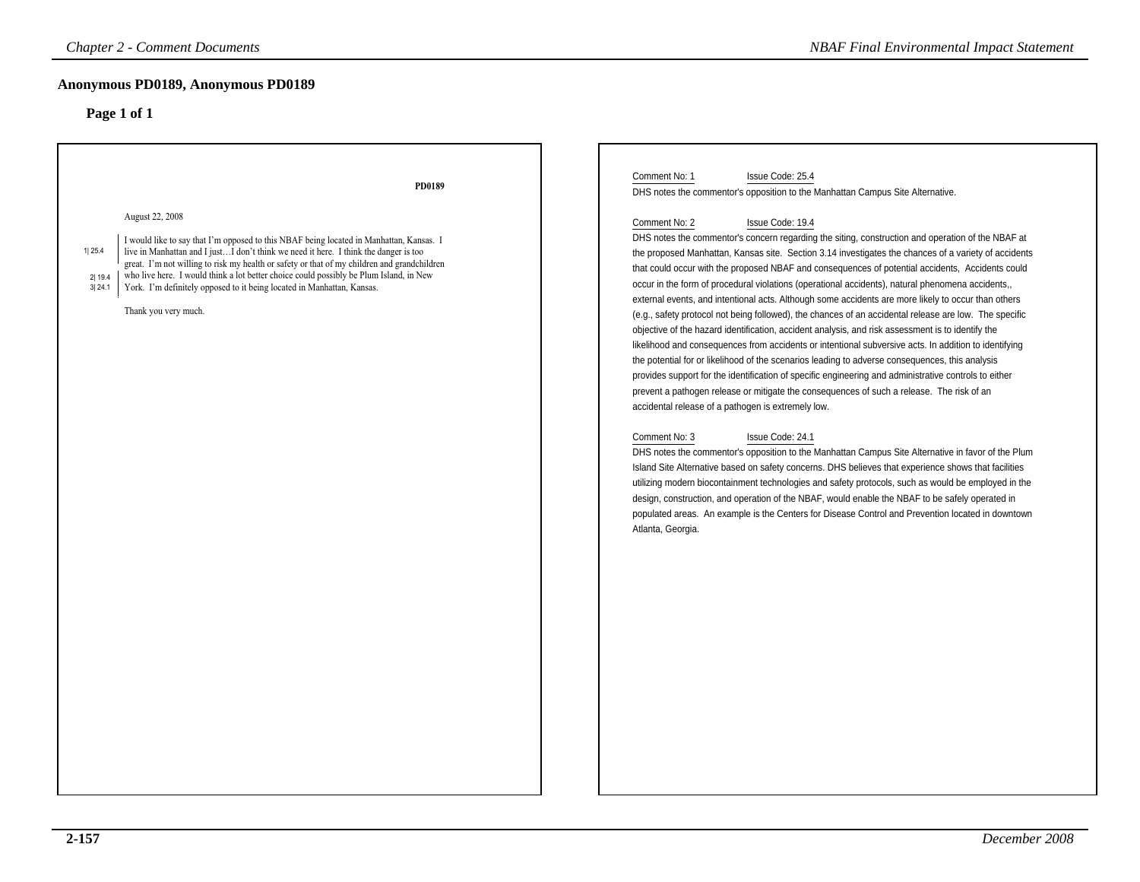| <b>Chapter 2 - Comment Documents</b>                                                                                                                                                                                                                                                                                                                                                                                                                                                                                                  | <b>NBAF Final Environmental Impact Statement</b>                                                                                                                                                                                                                                                                                                                                                                                                                                                                                                                                                                                                                                                                                                                                                                                                                                                                                                                                                                                                                                                                                                                                                                                                                                                                                                                                                                                                                                                                                                                                                                                                                                                                                                                                                                                                                                                                                                                    |
|---------------------------------------------------------------------------------------------------------------------------------------------------------------------------------------------------------------------------------------------------------------------------------------------------------------------------------------------------------------------------------------------------------------------------------------------------------------------------------------------------------------------------------------|---------------------------------------------------------------------------------------------------------------------------------------------------------------------------------------------------------------------------------------------------------------------------------------------------------------------------------------------------------------------------------------------------------------------------------------------------------------------------------------------------------------------------------------------------------------------------------------------------------------------------------------------------------------------------------------------------------------------------------------------------------------------------------------------------------------------------------------------------------------------------------------------------------------------------------------------------------------------------------------------------------------------------------------------------------------------------------------------------------------------------------------------------------------------------------------------------------------------------------------------------------------------------------------------------------------------------------------------------------------------------------------------------------------------------------------------------------------------------------------------------------------------------------------------------------------------------------------------------------------------------------------------------------------------------------------------------------------------------------------------------------------------------------------------------------------------------------------------------------------------------------------------------------------------------------------------------------------------|
| Anonymous PD0189, Anonymous PD0189<br>Page 1 of 1                                                                                                                                                                                                                                                                                                                                                                                                                                                                                     |                                                                                                                                                                                                                                                                                                                                                                                                                                                                                                                                                                                                                                                                                                                                                                                                                                                                                                                                                                                                                                                                                                                                                                                                                                                                                                                                                                                                                                                                                                                                                                                                                                                                                                                                                                                                                                                                                                                                                                     |
| PD0189<br>August 22, 2008<br>I would like to say that I'm opposed to this NBAF being located in Manhattan, Kansas. I<br>1 25.4<br>live in Manhattan and I justI don't think we need it here. I think the danger is too<br>great. I'm not willing to risk my health or safety or that of my children and grandchildren<br>who live here. I would think a lot better choice could possibly be Plum Island, in New<br>2 19.4<br>York. I'm definitely opposed to it being located in Manhattan, Kansas.<br>3 24.1<br>Thank you very much. | Issue Code: 25.4<br>Comment No: 1<br>DHS notes the commentor's opposition to the Manhattan Campus Site Alternative.<br>Comment No: 2<br>Issue Code: 19.4<br>DHS notes the commentor's concern regarding the siting, construction and operation of the NBAF at<br>the proposed Manhattan, Kansas site. Section 3.14 investigates the chances of a variety of accidents<br>that could occur with the proposed NBAF and consequences of potential accidents, Accidents could<br>occur in the form of procedural violations (operational accidents), natural phenomena accidents,,<br>external events, and intentional acts. Although some accidents are more likely to occur than others<br>(e.g., safety protocol not being followed), the chances of an accidental release are low. The specific<br>objective of the hazard identification, accident analysis, and risk assessment is to identify the<br>likelihood and consequences from accidents or intentional subversive acts. In addition to identifying<br>the potential for or likelihood of the scenarios leading to adverse consequences, this analysis<br>provides support for the identification of specific engineering and administrative controls to either<br>prevent a pathogen release or mitigate the consequences of such a release. The risk of an<br>accidental release of a pathogen is extremely low.<br>Issue Code: 24.1<br>Comment No: 3<br>DHS notes the commentor's opposition to the Manhattan Campus Site Alternative in favor of the Plum<br>Island Site Alternative based on safety concerns. DHS believes that experience shows that facilities<br>utilizing modern biocontainment technologies and safety protocols, such as would be employed in the<br>design, construction, and operation of the NBAF, would enable the NBAF to be safely operated in<br>populated areas. An example is the Centers for Disease Control and Prevention located in downtown<br>Atlanta, Georgia. |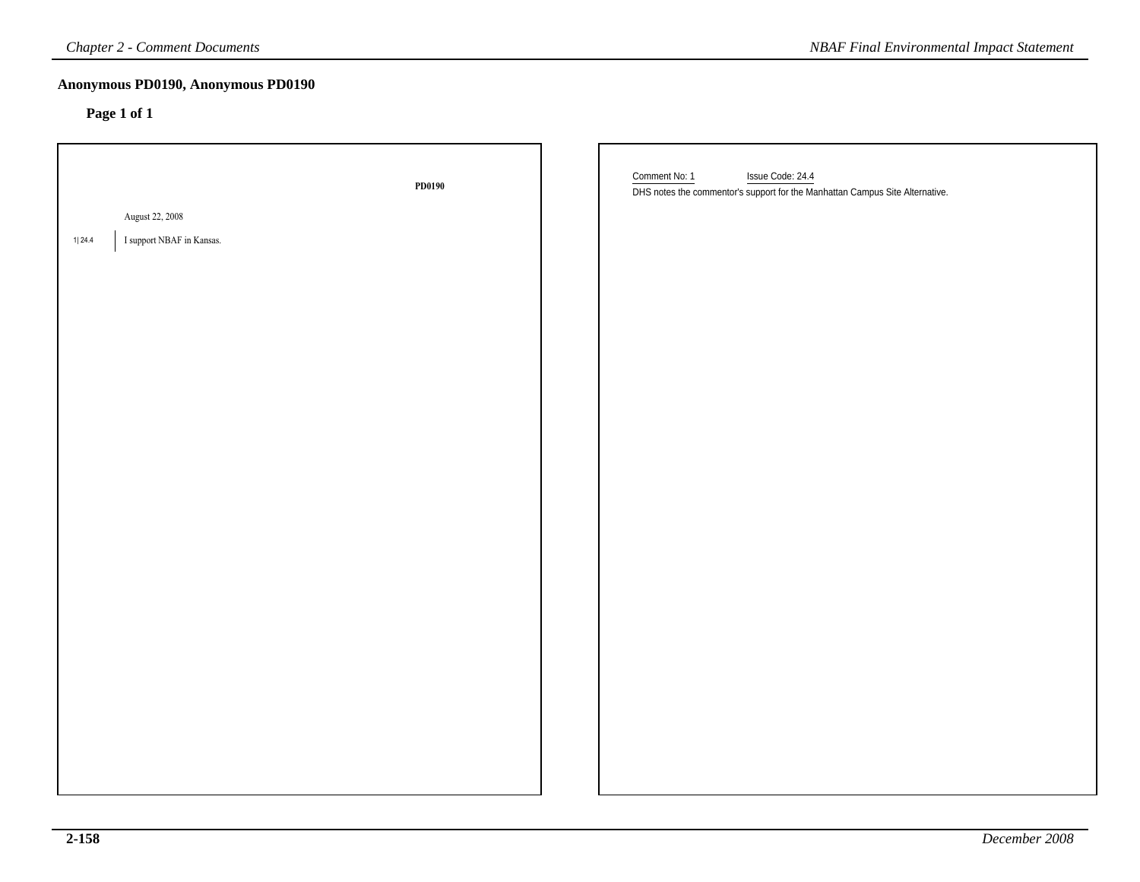| <b>Chapter 2 - Comment Documents</b><br><b>NBAF Final Environmental Impact Statement</b> |        |                                                                                                                   |
|------------------------------------------------------------------------------------------|--------|-------------------------------------------------------------------------------------------------------------------|
| Anonymous PD0190, Anonymous PD0190<br>Page 1 of 1                                        |        |                                                                                                                   |
| August 22, 2008<br>I support NBAF in Kansas.<br>1 24.4                                   | PD0190 | Comment No: 1<br>Issue Code: 24.4<br>DHS notes the commentor's support for the Manhattan Campus Site Alternative. |
|                                                                                          |        |                                                                                                                   |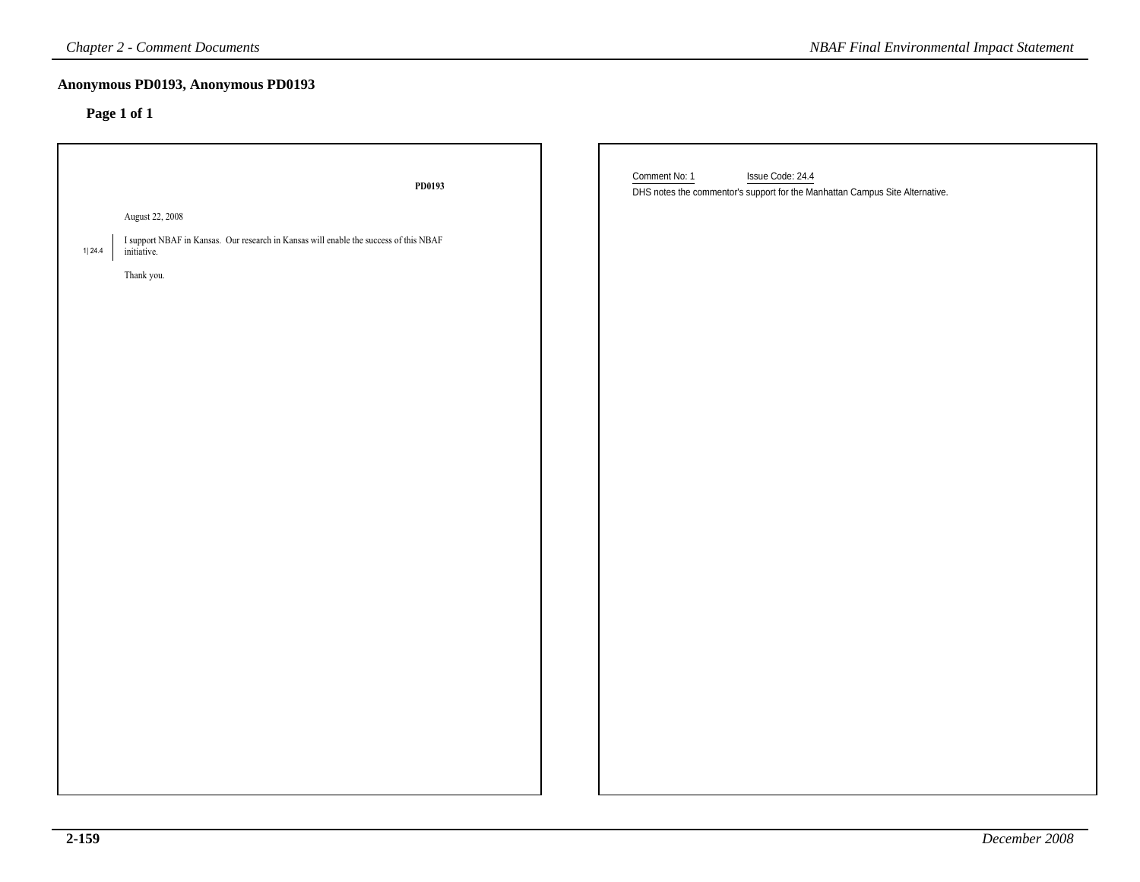| <b>Chapter 2 - Comment Documents</b>                                                                                                                       | <b>NBAF Final Environmental Impact Statement</b>                                                                  |
|------------------------------------------------------------------------------------------------------------------------------------------------------------|-------------------------------------------------------------------------------------------------------------------|
| Anonymous PD0193, Anonymous PD0193<br>Page 1 of 1                                                                                                          |                                                                                                                   |
| PD0193<br>August 22, 2008<br>I support NBAF in Kansas. Our research in Kansas will enable the success of this NBAF<br>1  24.4<br>initiative.<br>Thank you. | Comment No: 1<br>Issue Code: 24.4<br>DHS notes the commentor's support for the Manhattan Campus Site Alternative. |
|                                                                                                                                                            |                                                                                                                   |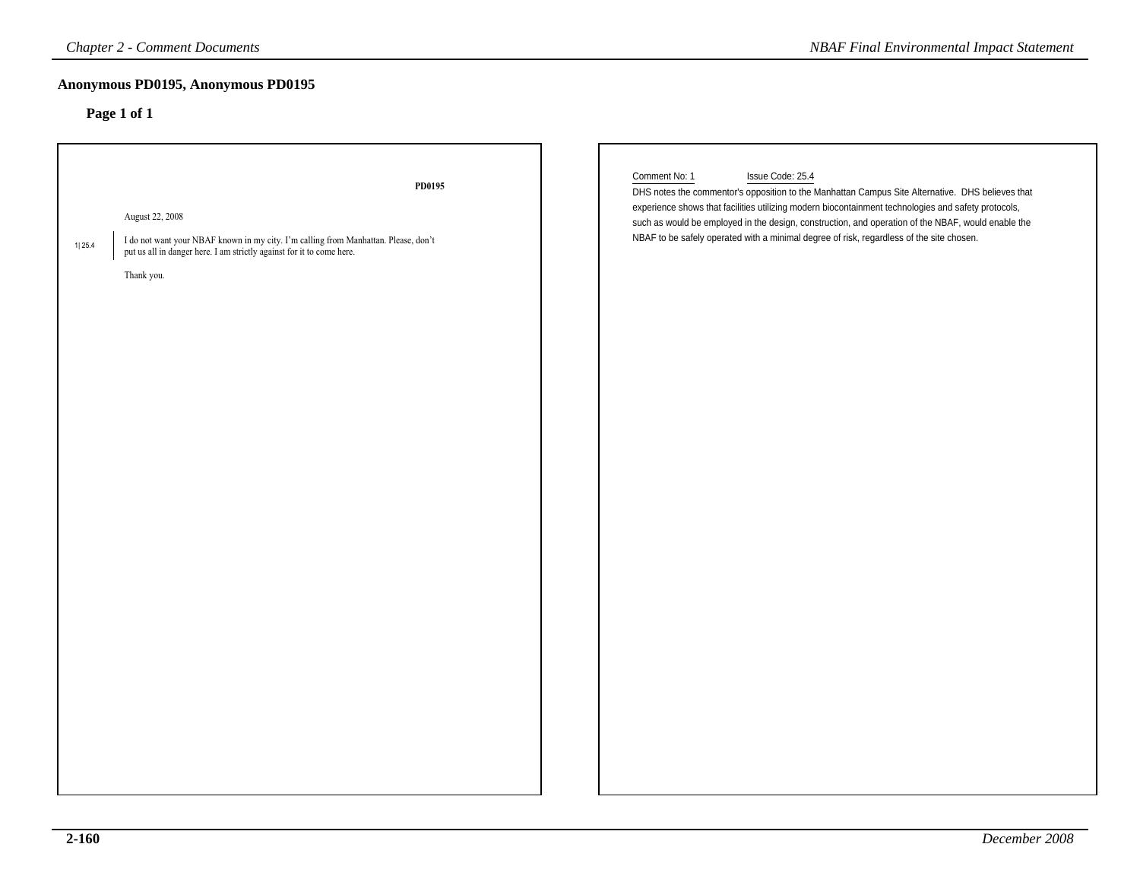# **Anonymous PD0195, Anonymous PD0195**

| <b>Chapter 2 - Comment Documents</b>                                                                                                                                                                              | <b>NBAF Final Environmental Impact Statement</b>                                                                                                                                                                                                                                                                                                                                                                                               |
|-------------------------------------------------------------------------------------------------------------------------------------------------------------------------------------------------------------------|------------------------------------------------------------------------------------------------------------------------------------------------------------------------------------------------------------------------------------------------------------------------------------------------------------------------------------------------------------------------------------------------------------------------------------------------|
| Anonymous PD0195, Anonymous PD0195<br>Page 1 of 1                                                                                                                                                                 |                                                                                                                                                                                                                                                                                                                                                                                                                                                |
| PD0195<br>August 22, 2008<br>I do not want your NBAF known in my city. I'm calling from Manhattan. Please, don't<br>1 25.4<br>put us all in danger here. I am strictly against for it to come here.<br>Thank you. | Comment No: 1<br>Issue Code: 25.4<br>DHS notes the commentor's opposition to the Manhattan Campus Site Alternative. DHS believes that<br>experience shows that facilities utilizing modern biocontainment technologies and safety protocols,<br>such as would be employed in the design, construction, and operation of the NBAF, would enable the<br>NBAF to be safely operated with a minimal degree of risk, regardless of the site chosen. |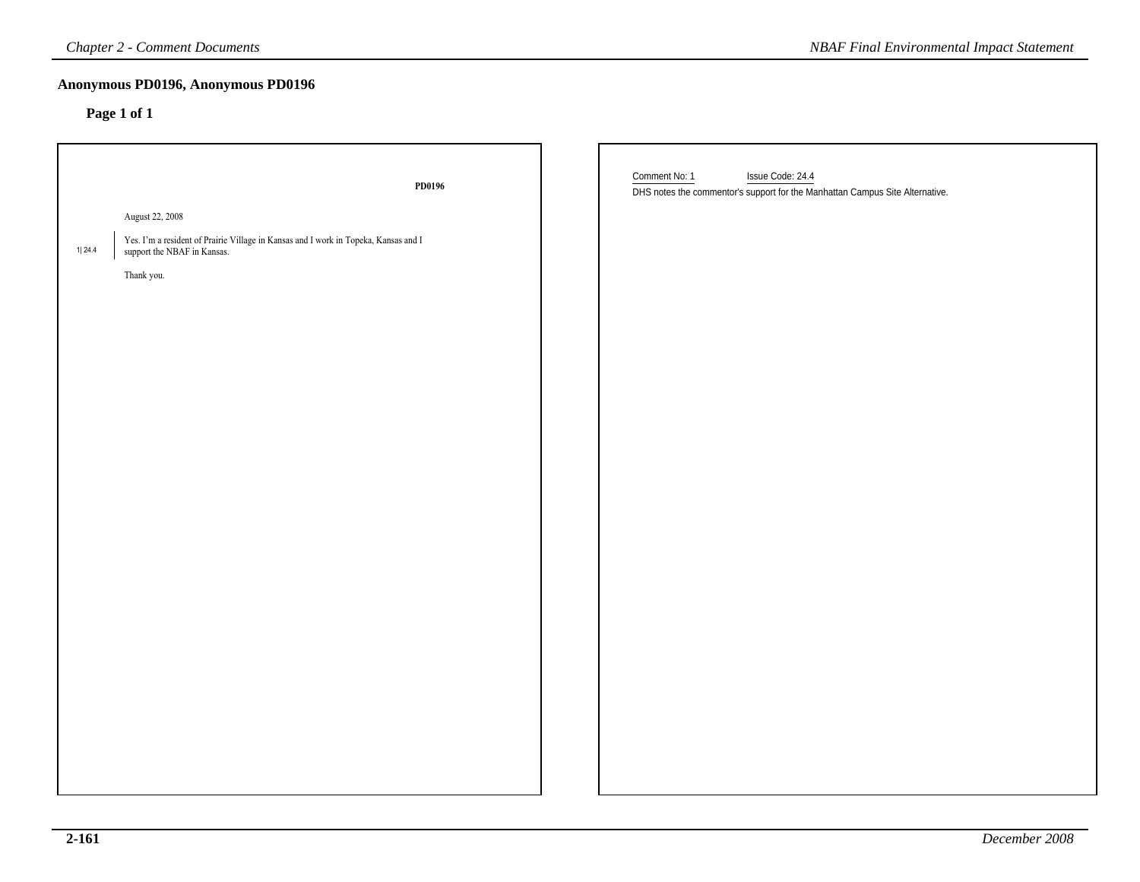### **Anonymous PD0196, Anonymous PD0196**

| <b>Chapter 2 - Comment Documents</b><br><b>NBAF Final Environmental Impact Statement</b> |                                                                                                                    |                                                                                                                   |  |  |  |
|------------------------------------------------------------------------------------------|--------------------------------------------------------------------------------------------------------------------|-------------------------------------------------------------------------------------------------------------------|--|--|--|
|                                                                                          | Anonymous PD0196, Anonymous PD0196<br>Page 1 of 1                                                                  |                                                                                                                   |  |  |  |
|                                                                                          | PD0196                                                                                                             | Comment No: 1<br>Issue Code: 24.4<br>DHS notes the commentor's support for the Manhattan Campus Site Alternative. |  |  |  |
|                                                                                          | August 22, 2008                                                                                                    |                                                                                                                   |  |  |  |
| 1 24.4                                                                                   | Yes. I'm a resident of Prairie Village in Kansas and I work in Topeka, Kansas and I<br>support the NBAF in Kansas. |                                                                                                                   |  |  |  |
|                                                                                          | Thank you.                                                                                                         |                                                                                                                   |  |  |  |
|                                                                                          |                                                                                                                    |                                                                                                                   |  |  |  |
|                                                                                          |                                                                                                                    |                                                                                                                   |  |  |  |
|                                                                                          |                                                                                                                    |                                                                                                                   |  |  |  |
|                                                                                          |                                                                                                                    |                                                                                                                   |  |  |  |
|                                                                                          |                                                                                                                    |                                                                                                                   |  |  |  |
|                                                                                          |                                                                                                                    |                                                                                                                   |  |  |  |
|                                                                                          |                                                                                                                    |                                                                                                                   |  |  |  |
|                                                                                          |                                                                                                                    |                                                                                                                   |  |  |  |
|                                                                                          |                                                                                                                    |                                                                                                                   |  |  |  |
|                                                                                          |                                                                                                                    |                                                                                                                   |  |  |  |
|                                                                                          |                                                                                                                    |                                                                                                                   |  |  |  |
|                                                                                          |                                                                                                                    |                                                                                                                   |  |  |  |
|                                                                                          |                                                                                                                    |                                                                                                                   |  |  |  |
|                                                                                          |                                                                                                                    |                                                                                                                   |  |  |  |
|                                                                                          |                                                                                                                    |                                                                                                                   |  |  |  |
|                                                                                          |                                                                                                                    |                                                                                                                   |  |  |  |
|                                                                                          |                                                                                                                    |                                                                                                                   |  |  |  |
|                                                                                          |                                                                                                                    |                                                                                                                   |  |  |  |
|                                                                                          |                                                                                                                    |                                                                                                                   |  |  |  |
|                                                                                          |                                                                                                                    |                                                                                                                   |  |  |  |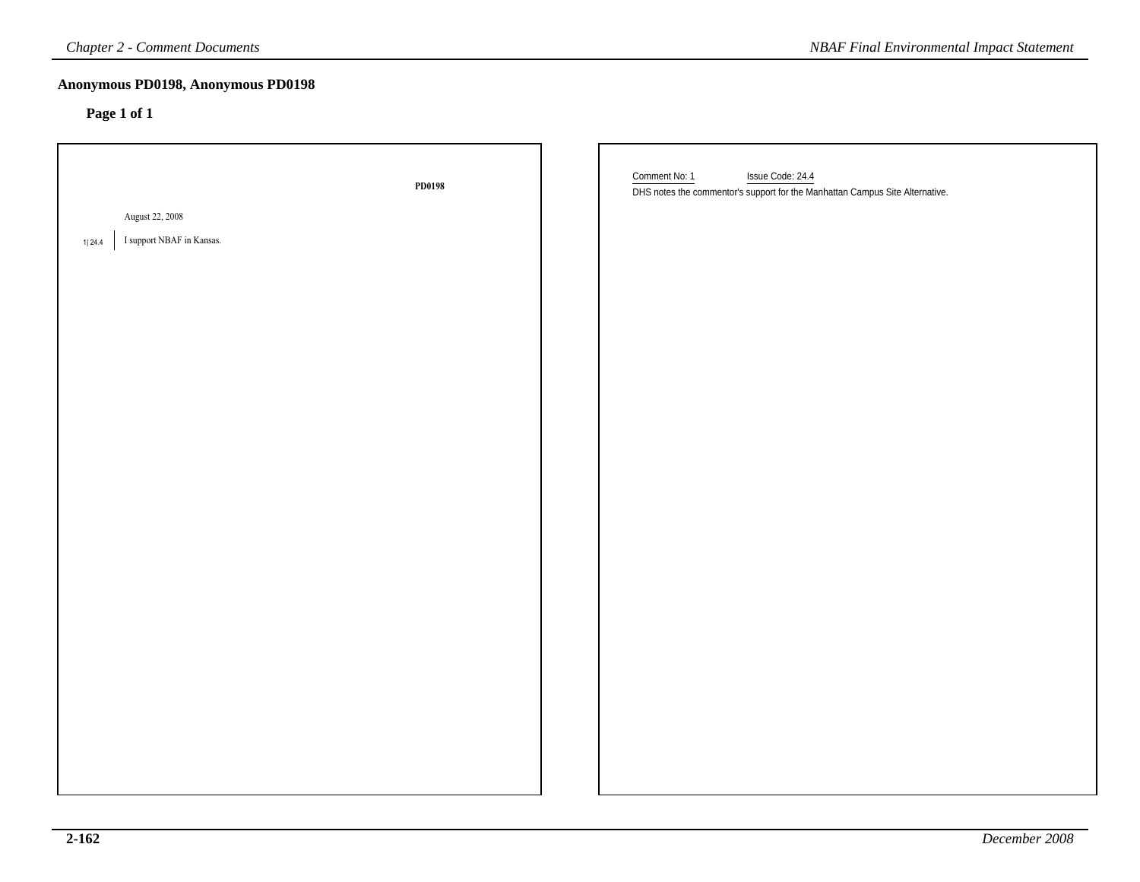| <b>Chapter 2 - Comment Documents</b>                          |        |  | <b>NBAF Final Environmental Impact Statement</b>                                                                  |
|---------------------------------------------------------------|--------|--|-------------------------------------------------------------------------------------------------------------------|
| Anonymous PD0198, Anonymous PD0198<br>Page 1 of 1             |        |  |                                                                                                                   |
|                                                               | PD0198 |  | Comment No: 1<br>Issue Code: 24.4<br>DHS notes the commentor's support for the Manhattan Campus Site Alternative. |
| <b>August 22, 2008</b><br>I support NBAF in Kansas.<br>1 24.4 |        |  |                                                                                                                   |
|                                                               |        |  |                                                                                                                   |
|                                                               |        |  |                                                                                                                   |
|                                                               |        |  |                                                                                                                   |
|                                                               |        |  |                                                                                                                   |
|                                                               |        |  |                                                                                                                   |
|                                                               |        |  |                                                                                                                   |
|                                                               |        |  |                                                                                                                   |
|                                                               |        |  |                                                                                                                   |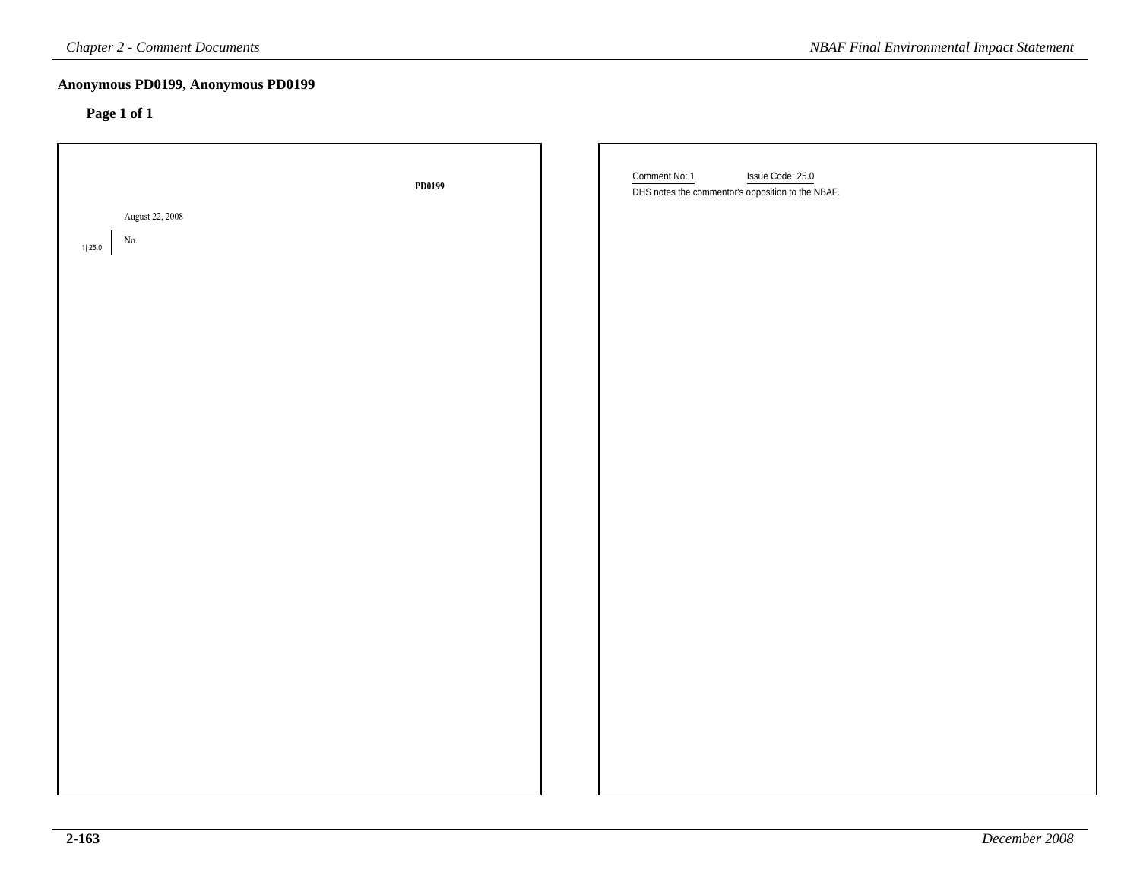| <b>Chapter 2 - Comment Documents</b><br><b>NBAF Final Environmental Impact Statement</b> |        |  |                                                                                        |  |
|------------------------------------------------------------------------------------------|--------|--|----------------------------------------------------------------------------------------|--|
| Anonymous PD0199, Anonymous PD0199<br>Page 1 of 1                                        |        |  |                                                                                        |  |
| August 22, 2008<br>No.<br>1125.0                                                         | PD0199 |  | Comment No: 1<br>Issue Code: 25.0<br>DHS notes the commentor's opposition to the NBAF. |  |
|                                                                                          |        |  |                                                                                        |  |
|                                                                                          |        |  |                                                                                        |  |
|                                                                                          |        |  |                                                                                        |  |
|                                                                                          |        |  |                                                                                        |  |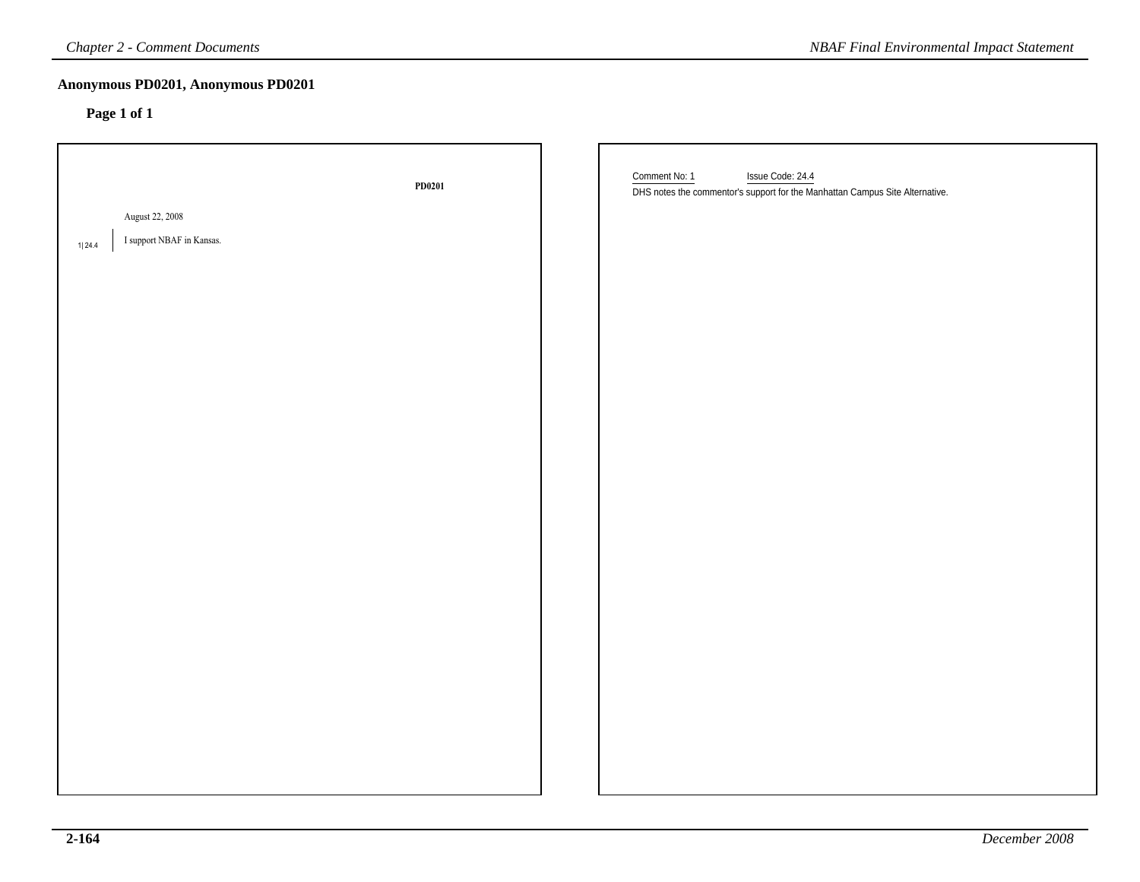| <b>Chapter 2 - Comment Documents</b>              |        | <b>NBAF Final Environmental Impact Statement</b>                                                                  |
|---------------------------------------------------|--------|-------------------------------------------------------------------------------------------------------------------|
| Anonymous PD0201, Anonymous PD0201<br>Page 1 of 1 |        |                                                                                                                   |
| August 22, 2008<br>I support NBAF in Kansas.      | PD0201 | Comment No: 1<br>Issue Code: 24.4<br>DHS notes the commentor's support for the Manhattan Campus Site Alternative. |
| 1 24.4                                            |        |                                                                                                                   |
|                                                   |        |                                                                                                                   |
|                                                   |        |                                                                                                                   |
|                                                   |        |                                                                                                                   |
|                                                   |        |                                                                                                                   |
|                                                   |        |                                                                                                                   |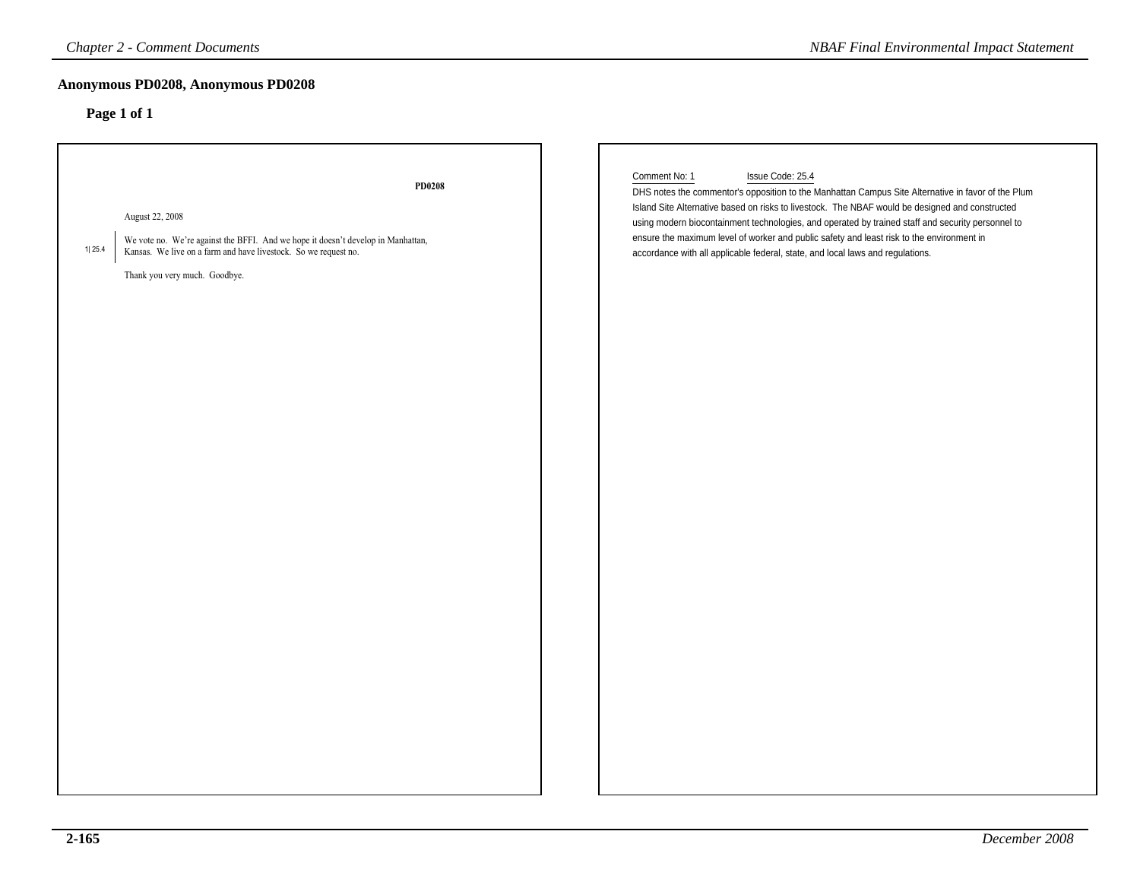| <b>Chapter 2 - Comment Documents</b>                                                                                                                                                                                               | <b>NBAF Final Environmental Impact Statement</b>                                                                                                                                                                                                                                                                                                                                                                                                                                                                               |
|------------------------------------------------------------------------------------------------------------------------------------------------------------------------------------------------------------------------------------|--------------------------------------------------------------------------------------------------------------------------------------------------------------------------------------------------------------------------------------------------------------------------------------------------------------------------------------------------------------------------------------------------------------------------------------------------------------------------------------------------------------------------------|
| Anonymous PD0208, Anonymous PD0208<br>Page 1 of 1                                                                                                                                                                                  |                                                                                                                                                                                                                                                                                                                                                                                                                                                                                                                                |
| <b>PD0208</b><br>August 22, 2008<br>We vote no. We're against the BFFI. And we hope it doesn't develop in Manhattan,<br>1 25.4<br>Kansas. We live on a farm and have livestock. So we request no.<br>Thank you very much. Goodbye. | Comment No: 1<br>Issue Code: 25.4<br>DHS notes the commentor's opposition to the Manhattan Campus Site Alternative in favor of the Plum<br>Island Site Alternative based on risks to livestock. The NBAF would be designed and constructed<br>using modern biocontainment technologies, and operated by trained staff and security personnel to<br>ensure the maximum level of worker and public safety and least risk to the environment in<br>accordance with all applicable federal, state, and local laws and regulations. |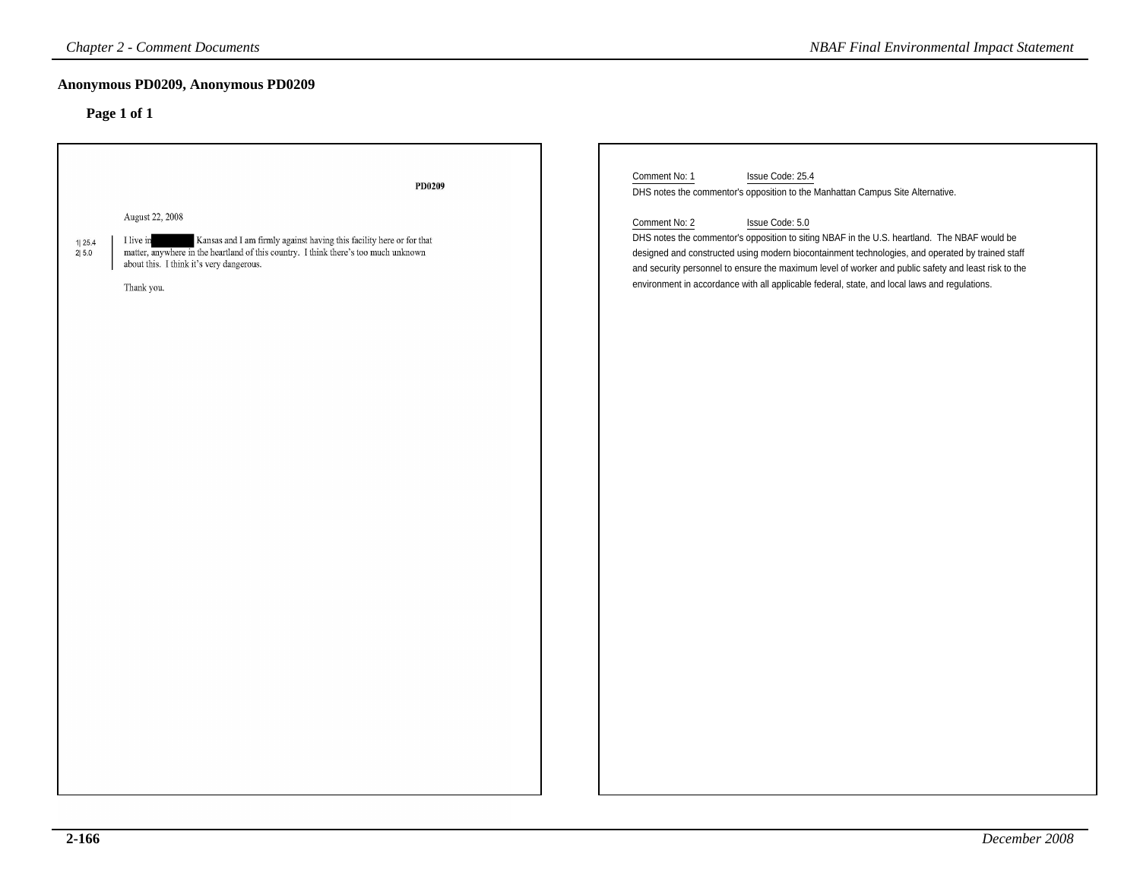### **Anonymous PD0209, Anonymous PD0209**

| <b>Chapter 2 - Comment Documents</b>                                                                                                                                                                                                                                     |        | <b>NBAF Final Environmental Impact Statement</b>                                                                                                                                                                                                                                                                                                                                                                                              |
|--------------------------------------------------------------------------------------------------------------------------------------------------------------------------------------------------------------------------------------------------------------------------|--------|-----------------------------------------------------------------------------------------------------------------------------------------------------------------------------------------------------------------------------------------------------------------------------------------------------------------------------------------------------------------------------------------------------------------------------------------------|
| Anonymous PD0209, Anonymous PD0209                                                                                                                                                                                                                                       |        |                                                                                                                                                                                                                                                                                                                                                                                                                                               |
| Page 1 of 1                                                                                                                                                                                                                                                              | PD0209 | Comment No: 1<br>Issue Code: 25.4<br>DHS notes the commentor's opposition to the Manhattan Campus Site Alternative.                                                                                                                                                                                                                                                                                                                           |
| August 22, 2008<br>Kansas and I am firmly against having this facility here or for that<br>I live in<br>1125.4<br>matter, anywhere in the heartland of this country. I think there's too much unknown<br>2 5.0<br>about this. I think it's very dangerous.<br>Thank you. |        | Comment No: 2<br>Issue Code: 5.0<br>DHS notes the commentor's opposition to siting NBAF in the U.S. heartland. The NBAF would be<br>designed and constructed using modern biocontainment technologies, and operated by trained staff<br>and security personnel to ensure the maximum level of worker and public safety and least risk to the<br>environment in accordance with all applicable federal, state, and local laws and regulations. |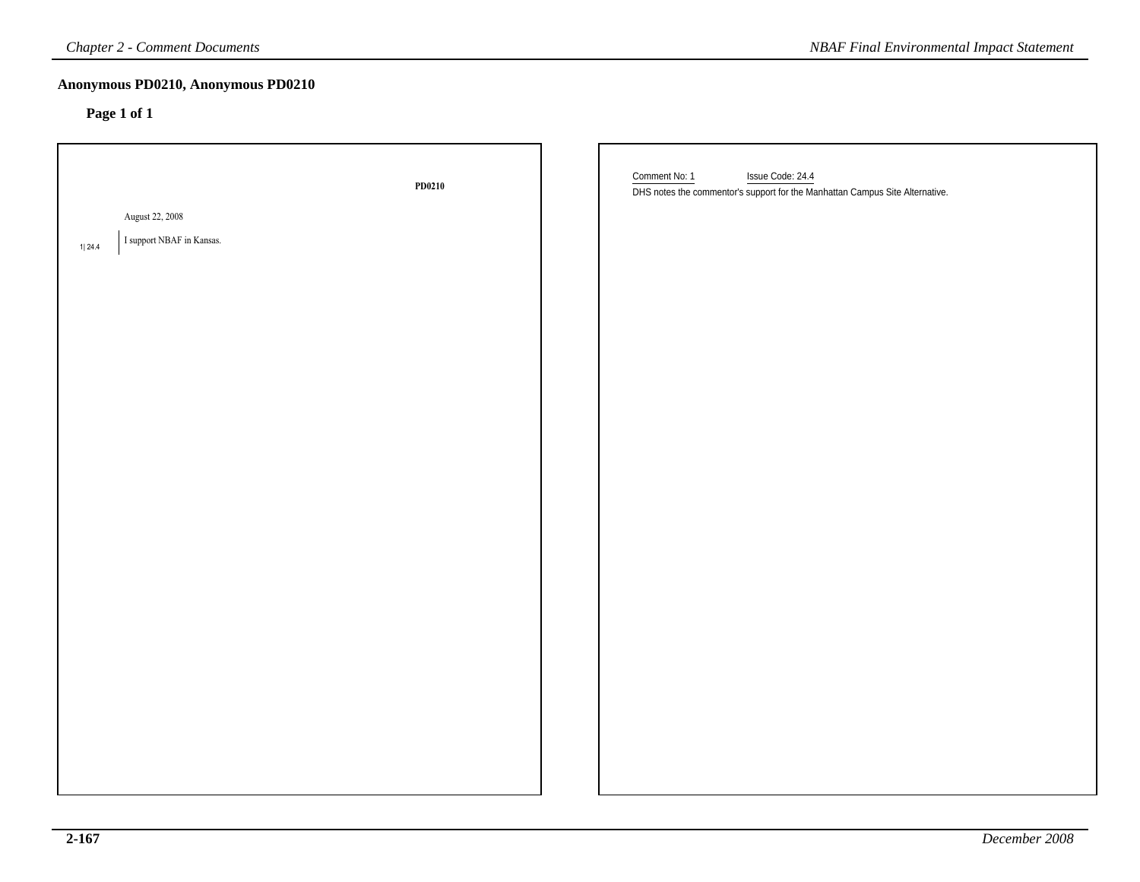| <b>Chapter 2 - Comment Documents</b>                   |        | <b>NBAF Final Environmental Impact Statement</b>                                                                  |
|--------------------------------------------------------|--------|-------------------------------------------------------------------------------------------------------------------|
| Anonymous PD0210, Anonymous PD0210<br>Page 1 of 1      |        |                                                                                                                   |
| August 22, 2008<br>I support NBAF in Kansas.<br>1 24.4 | PD0210 | Comment No: 1<br>Issue Code: 24.4<br>DHS notes the commentor's support for the Manhattan Campus Site Alternative. |
|                                                        |        |                                                                                                                   |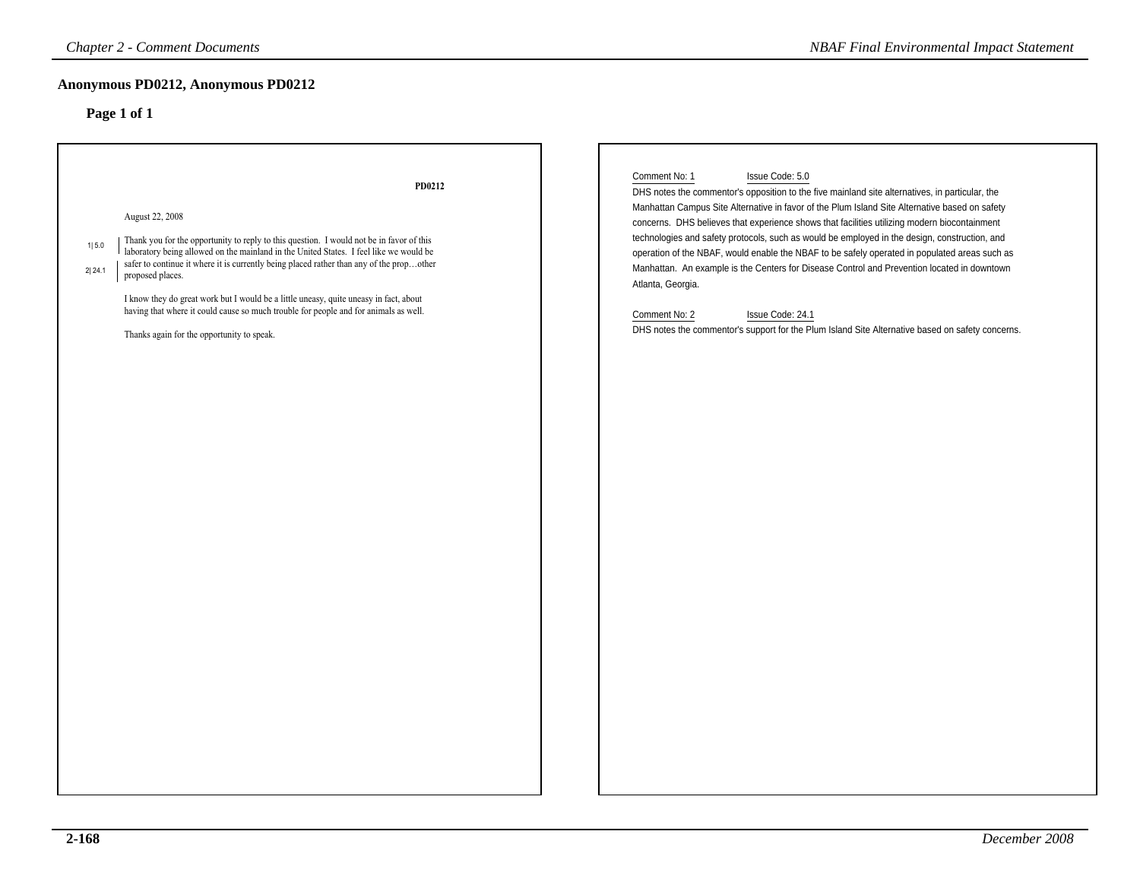| <b>Chapter 2 - Comment Documents</b>                                                                                                                                                                                                                                                                                                                                                                                                                                                                                                                                              | <b>NBAF Final Environmental Impact Statement</b>                                                                                                                                                                                                                                                                                                                                                                                                                                                                                                                                                                                                                                                                                                                                                     |
|-----------------------------------------------------------------------------------------------------------------------------------------------------------------------------------------------------------------------------------------------------------------------------------------------------------------------------------------------------------------------------------------------------------------------------------------------------------------------------------------------------------------------------------------------------------------------------------|------------------------------------------------------------------------------------------------------------------------------------------------------------------------------------------------------------------------------------------------------------------------------------------------------------------------------------------------------------------------------------------------------------------------------------------------------------------------------------------------------------------------------------------------------------------------------------------------------------------------------------------------------------------------------------------------------------------------------------------------------------------------------------------------------|
| Anonymous PD0212, Anonymous PD0212                                                                                                                                                                                                                                                                                                                                                                                                                                                                                                                                                |                                                                                                                                                                                                                                                                                                                                                                                                                                                                                                                                                                                                                                                                                                                                                                                                      |
| Page 1 of 1                                                                                                                                                                                                                                                                                                                                                                                                                                                                                                                                                                       |                                                                                                                                                                                                                                                                                                                                                                                                                                                                                                                                                                                                                                                                                                                                                                                                      |
| PD0212<br>August 22, 2008<br>Thank you for the opportunity to reply to this question. I would not be in favor of this<br>1 5.0<br>laboratory being allowed on the mainland in the United States. I feel like we would be<br>safer to continue it where it is currently being placed rather than any of the propother<br>2 24.1<br>proposed places.<br>I know they do great work but I would be a little uneasy, quite uneasy in fact, about<br>having that where it could cause so much trouble for people and for animals as well.<br>Thanks again for the opportunity to speak. | Comment No: 1<br>Issue Code: 5.0<br>DHS notes the commentor's opposition to the five mainland site alternatives, in particular, the<br>Manhattan Campus Site Alternative in favor of the Plum Island Site Alternative based on safety<br>concerns. DHS believes that experience shows that facilities utilizing modern biocontainment<br>technologies and safety protocols, such as would be employed in the design, construction, and<br>operation of the NBAF, would enable the NBAF to be safely operated in populated areas such as<br>Manhattan. An example is the Centers for Disease Control and Prevention located in downtown<br>Atlanta, Georgia.<br>Issue Code: 24.1<br>Comment No: 2<br>DHS notes the commentor's support for the Plum Island Site Alternative based on safety concerns. |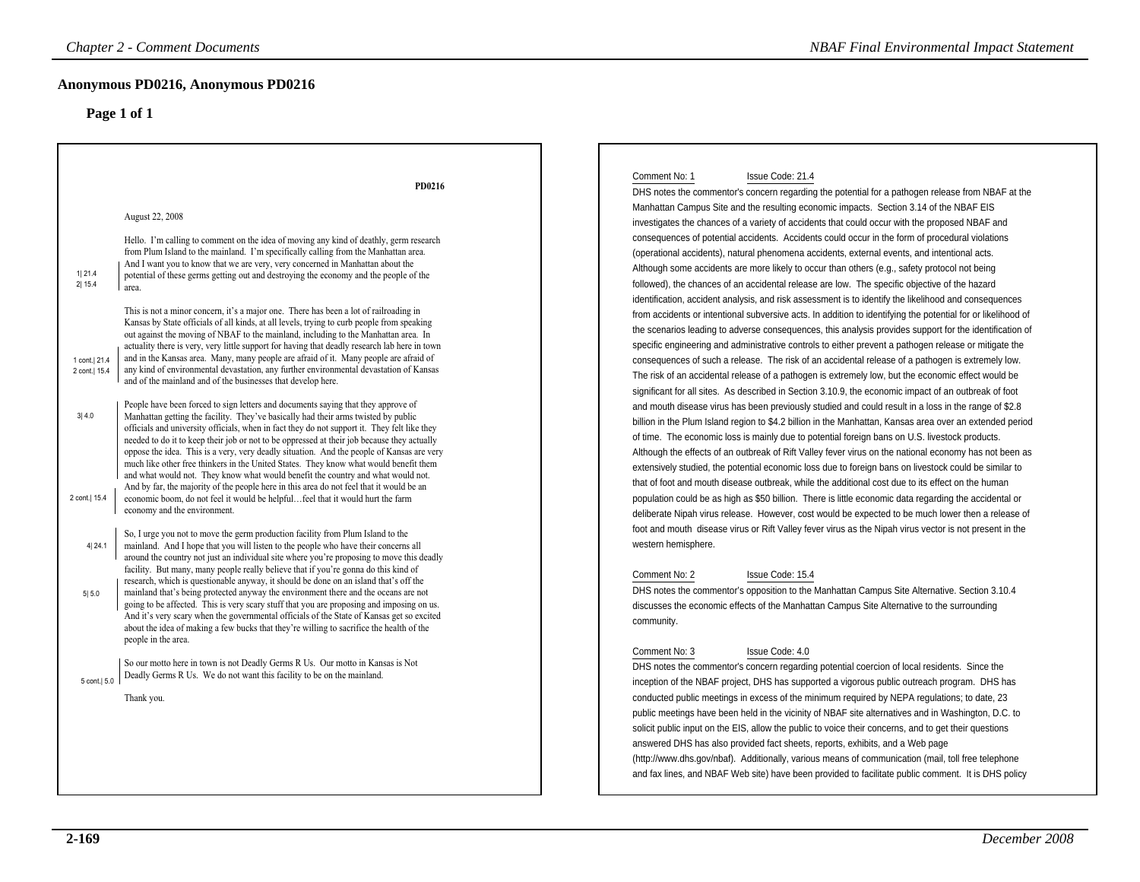### **Anonymous PD0216, Anonymous PD0216**

|                                | <b>Chapter 2 - Comment Documents</b>                                                                                                                                                                                                                                                                                                                                                                                                                                                                                                                                                                                                                                                                                                                                                                                           | <b>NBAF Final Environmental Impact Statement</b>                                                                                                                                                                                                                                                                                                                                                                                                                                                                                                                                                                                                                                                                                                                                                                                                              |
|--------------------------------|--------------------------------------------------------------------------------------------------------------------------------------------------------------------------------------------------------------------------------------------------------------------------------------------------------------------------------------------------------------------------------------------------------------------------------------------------------------------------------------------------------------------------------------------------------------------------------------------------------------------------------------------------------------------------------------------------------------------------------------------------------------------------------------------------------------------------------|---------------------------------------------------------------------------------------------------------------------------------------------------------------------------------------------------------------------------------------------------------------------------------------------------------------------------------------------------------------------------------------------------------------------------------------------------------------------------------------------------------------------------------------------------------------------------------------------------------------------------------------------------------------------------------------------------------------------------------------------------------------------------------------------------------------------------------------------------------------|
|                                | Anonymous PD0216, Anonymous PD0216                                                                                                                                                                                                                                                                                                                                                                                                                                                                                                                                                                                                                                                                                                                                                                                             |                                                                                                                                                                                                                                                                                                                                                                                                                                                                                                                                                                                                                                                                                                                                                                                                                                                               |
|                                | Page 1 of 1                                                                                                                                                                                                                                                                                                                                                                                                                                                                                                                                                                                                                                                                                                                                                                                                                    |                                                                                                                                                                                                                                                                                                                                                                                                                                                                                                                                                                                                                                                                                                                                                                                                                                                               |
|                                |                                                                                                                                                                                                                                                                                                                                                                                                                                                                                                                                                                                                                                                                                                                                                                                                                                | Issue Code: 21.4<br>Comment No: 1                                                                                                                                                                                                                                                                                                                                                                                                                                                                                                                                                                                                                                                                                                                                                                                                                             |
|                                | PD0216<br>August 22, 2008                                                                                                                                                                                                                                                                                                                                                                                                                                                                                                                                                                                                                                                                                                                                                                                                      | DHS notes the commentor's concern regarding the potential for a pathogen release from NBAF at the<br>Manhattan Campus Site and the resulting economic impacts. Section 3.14 of the NBAF EIS                                                                                                                                                                                                                                                                                                                                                                                                                                                                                                                                                                                                                                                                   |
| 1 21.4<br>2 15.4               | Hello. I'm calling to comment on the idea of moving any kind of deathly, germ research<br>from Plum Island to the mainland. I'm specifically calling from the Manhattan area.<br>And I want you to know that we are very, very concerned in Manhattan about the<br>potential of these germs getting out and destroying the economy and the people of the<br>area.                                                                                                                                                                                                                                                                                                                                                                                                                                                              | investigates the chances of a variety of accidents that could occur with the proposed NBAF and<br>consequences of potential accidents. Accidents could occur in the form of procedural violations<br>(operational accidents), natural phenomena accidents, external events, and intentional acts.<br>Although some accidents are more likely to occur than others (e.g., safety protocol not being<br>followed), the chances of an accidental release are low. The specific objective of the hazard<br>identification, accident analysis, and risk assessment is to identify the likelihood and consequences                                                                                                                                                                                                                                                  |
| 1 cont. 21.4<br>2 cont.   15.4 | This is not a minor concern, it's a major one. There has been a lot of railroading in<br>Kansas by State officials of all kinds, at all levels, trying to curb people from speaking<br>out against the moving of NBAF to the mainland, including to the Manhattan area. In<br>actuality there is very, very little support for having that deadly research lab here in town<br>and in the Kansas area. Many, many people are afraid of it. Many people are afraid of<br>any kind of environmental devastation, any further environmental devastation of Kansas<br>and of the mainland and of the businesses that develop here.                                                                                                                                                                                                 | from accidents or intentional subversive acts. In addition to identifying the potential for or likelihood of<br>the scenarios leading to adverse consequences, this analysis provides support for the identification of<br>specific engineering and administrative controls to either prevent a pathogen release or mitigate the<br>consequences of such a release. The risk of an accidental release of a pathogen is extremely low.<br>The risk of an accidental release of a pathogen is extremely low, but the economic effect would be                                                                                                                                                                                                                                                                                                                   |
| 3 4.0<br>2 cont.   15.4        | People have been forced to sign letters and documents saying that they approve of<br>Manhattan getting the facility. They've basically had their arms twisted by public<br>officials and university officials, when in fact they do not support it. They felt like they<br>needed to do it to keep their job or not to be oppressed at their job because they actually<br>oppose the idea. This is a very, very deadly situation. And the people of Kansas are very<br>much like other free thinkers in the United States. They know what would benefit them<br>and what would not. They know what would benefit the country and what would not.<br>And by far, the majority of the people here in this area do not feel that it would be an<br>economic boom, do not feel it would be helpfulfeel that it would hurt the farm | significant for all sites. As described in Section 3.10.9, the economic impact of an outbreak of foot<br>and mouth disease virus has been previously studied and could result in a loss in the range of \$2.8<br>billion in the Plum Island region to \$4.2 billion in the Manhattan, Kansas area over an extended period<br>of time. The economic loss is mainly due to potential foreign bans on U.S. livestock products.<br>Although the effects of an outbreak of Rift Valley fever virus on the national economy has not been as<br>extensively studied, the potential economic loss due to foreign bans on livestock could be similar to<br>that of foot and mouth disease outbreak, while the additional cost due to its effect on the human<br>population could be as high as \$50 billion. There is little economic data regarding the accidental or |
| 4 24.1                         | economy and the environment.<br>So, I urge you not to move the germ production facility from Plum Island to the<br>mainland. And I hope that you will listen to the people who have their concerns all<br>around the country not just an individual site where you're proposing to move this deadly<br>facility. But many, many people really believe that if you're gonna do this kind of                                                                                                                                                                                                                                                                                                                                                                                                                                     | deliberate Nipah virus release. However, cost would be expected to be much lower then a release of<br>foot and mouth disease virus or Rift Valley fever virus as the Nipah virus vector is not present in the<br>western hemisphere.                                                                                                                                                                                                                                                                                                                                                                                                                                                                                                                                                                                                                          |
| 515.0                          | research, which is questionable anyway, it should be done on an island that's off the<br>mainland that's being protected anyway the environment there and the oceans are not<br>going to be affected. This is very scary stuff that you are proposing and imposing on us.<br>And it's very scary when the governmental officials of the State of Kansas get so excited<br>about the idea of making a few bucks that they're willing to sacrifice the health of the<br>people in the area.                                                                                                                                                                                                                                                                                                                                      | Comment No: 2<br>Issue Code: 15.4<br>DHS notes the commentor's opposition to the Manhattan Campus Site Alternative. Section 3.10.4<br>discusses the economic effects of the Manhattan Campus Site Alternative to the surrounding<br>community.                                                                                                                                                                                                                                                                                                                                                                                                                                                                                                                                                                                                                |
| 5 cont.  5.0                   | So our motto here in town is not Deadly Germs R Us. Our motto in Kansas is Not<br>Deadly Germs R Us. We do not want this facility to be on the mainland.<br>Thank you.                                                                                                                                                                                                                                                                                                                                                                                                                                                                                                                                                                                                                                                         | Comment No: 3<br>Issue Code: 4.0<br>DHS notes the commentor's concern regarding potential coercion of local residents. Since the<br>inception of the NBAF project, DHS has supported a vigorous public outreach program. DHS has<br>conducted public meetings in excess of the minimum required by NEPA regulations; to date, 23                                                                                                                                                                                                                                                                                                                                                                                                                                                                                                                              |
|                                |                                                                                                                                                                                                                                                                                                                                                                                                                                                                                                                                                                                                                                                                                                                                                                                                                                | public meetings have been held in the vicinity of NBAF site alternatives and in Washington, D.C. to<br>solicit public input on the EIS, allow the public to voice their concerns, and to get their questions<br>answered DHS has also provided fact sheets, reports, exhibits, and a Web page<br>(http://www.dhs.gov/nbaf). Additionally, various means of communication (mail, toll free telephone<br>and fax lines, and NBAF Web site) have been provided to facilitate public comment. It is DHS policy                                                                                                                                                                                                                                                                                                                                                    |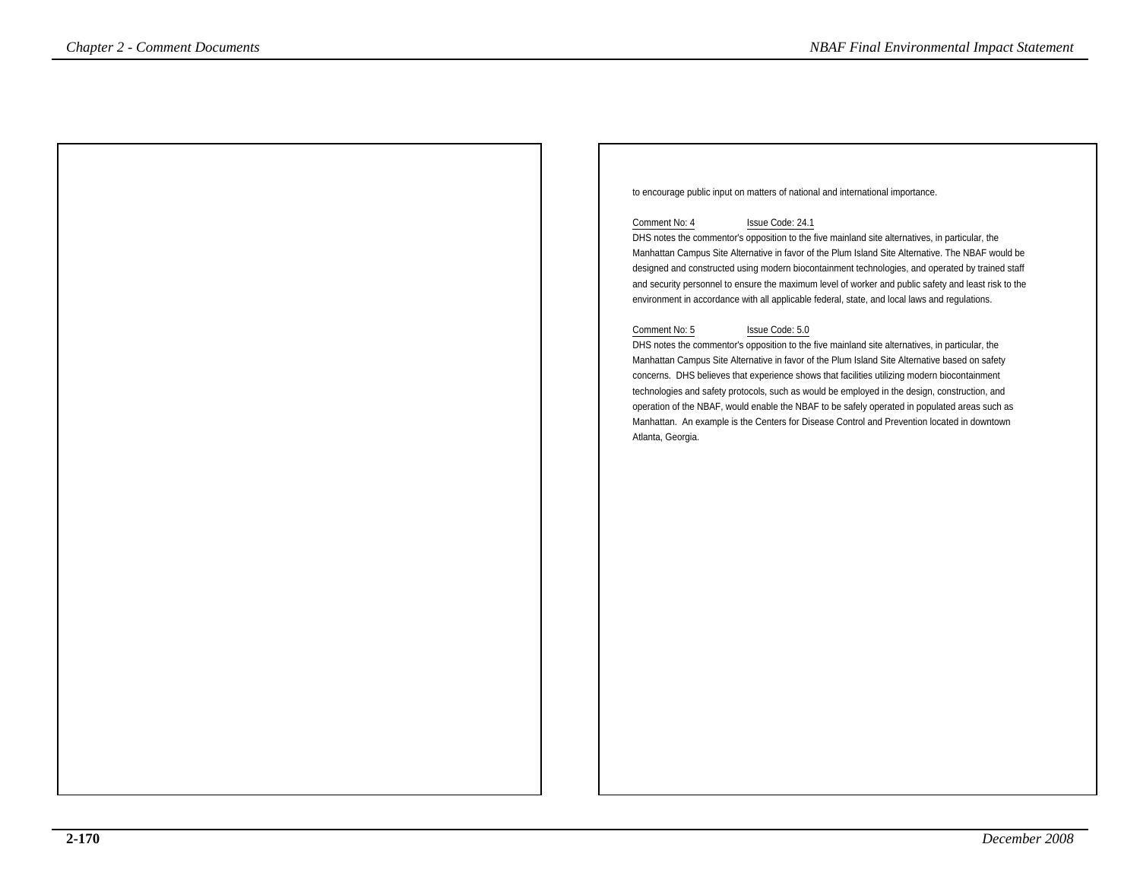to encourage public input on matters of national and international importance.

### Comment No: 4 Issue Code: 24.1

 DHS notes the commentor's opposition to the five mainland site alternatives, in particular, the Manhattan Campus Site Alternative in favor of the Plum Island Site Alternative. The NBAF would be designed and constructed using modern biocontainment technologies, and operated by trained staff and security personnel to ensure the maximum level of worker and public safety and least risk to theenvironment in accordance with all applicable federal, state, and local laws and regulations.

### Comment No: 5 Issue Code: 5.0

 DHS notes the commentor's opposition to the five mainland site alternatives, in particular, the Manhattan Campus Site Alternative in favor of the Plum Island Site Alternative based on safety concerns. DHS believes that experience shows that facilities utilizing modern biocontainment technologies and safety protocols, such as would be employed in the design, construction, and operation of the NBAF, would enable the NBAF to be safely operated in populated areas such as Manhattan. An example is the Centers for Disease Control and Prevention located in downtownAtlanta, Georgia.*Comments*<br> **Chapter 2 - Comments <br>
to ensourage published on mains of valued and statements of the detection in material<br>
Comment Mac Theorem in the 4<br>
Disc final Environmental International and state and the statements<br>**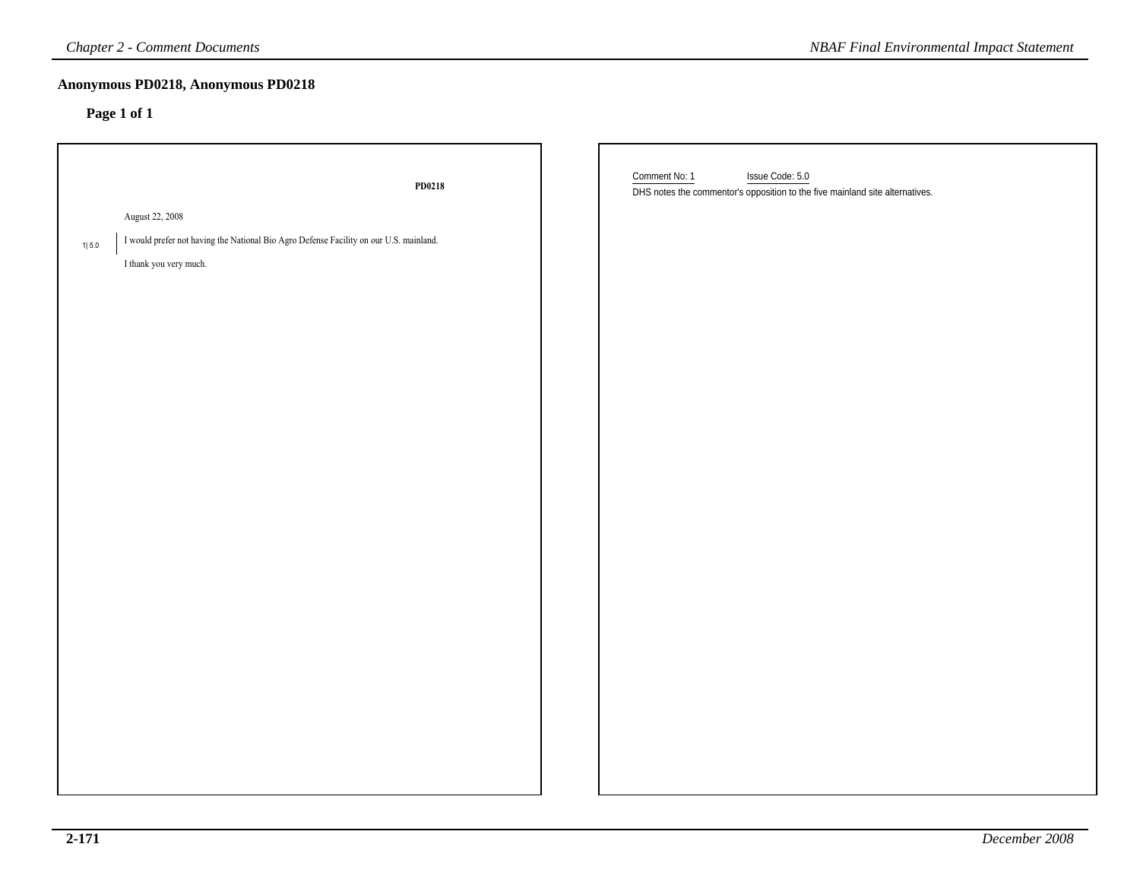| <b>Chapter 2 - Comment Documents</b>                                                                   | <b>NBAF Final Environmental Impact Statement</b>                                                                 |
|--------------------------------------------------------------------------------------------------------|------------------------------------------------------------------------------------------------------------------|
| Anonymous PD0218, Anonymous PD0218<br>Page 1 of 1                                                      |                                                                                                                  |
| PD0218                                                                                                 | Comment No: 1<br>Issue Code: 5.0<br>DHS notes the commentor's opposition to the five mainland site alternatives. |
| August 22, 2008                                                                                        |                                                                                                                  |
| I would prefer not having the National Bio Agro Defense Facility on our U.S. mainland.<br>$1\vert$ 5.0 |                                                                                                                  |
| I thank you very much.                                                                                 |                                                                                                                  |
|                                                                                                        |                                                                                                                  |
|                                                                                                        |                                                                                                                  |
|                                                                                                        |                                                                                                                  |
|                                                                                                        |                                                                                                                  |
|                                                                                                        |                                                                                                                  |
|                                                                                                        |                                                                                                                  |
|                                                                                                        |                                                                                                                  |
|                                                                                                        |                                                                                                                  |
|                                                                                                        |                                                                                                                  |
|                                                                                                        |                                                                                                                  |
|                                                                                                        |                                                                                                                  |
|                                                                                                        |                                                                                                                  |
|                                                                                                        |                                                                                                                  |
|                                                                                                        |                                                                                                                  |
|                                                                                                        |                                                                                                                  |
|                                                                                                        |                                                                                                                  |
|                                                                                                        |                                                                                                                  |
|                                                                                                        |                                                                                                                  |
|                                                                                                        |                                                                                                                  |
|                                                                                                        |                                                                                                                  |
|                                                                                                        |                                                                                                                  |
|                                                                                                        |                                                                                                                  |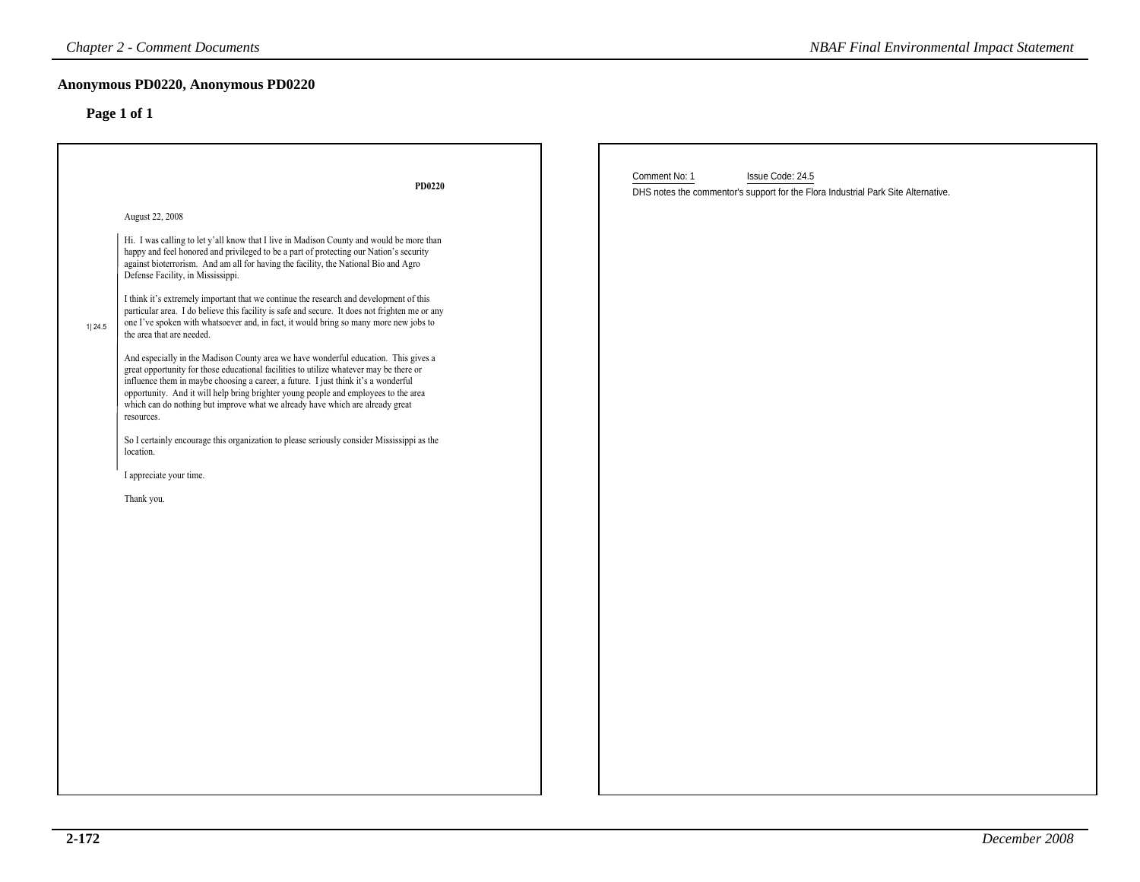|        | <b>Chapter 2 - Comment Documents</b>                                                                                                                                                                                                                                                                                                                                                                                                                                                                                                                                                                                                                                                                                                                                                                                                                                                                                                                                                                                                                                                                                                                                                                                                                                 |               | <b>NBAF Final Environmental Impact Statement</b>                                                      |  |
|--------|----------------------------------------------------------------------------------------------------------------------------------------------------------------------------------------------------------------------------------------------------------------------------------------------------------------------------------------------------------------------------------------------------------------------------------------------------------------------------------------------------------------------------------------------------------------------------------------------------------------------------------------------------------------------------------------------------------------------------------------------------------------------------------------------------------------------------------------------------------------------------------------------------------------------------------------------------------------------------------------------------------------------------------------------------------------------------------------------------------------------------------------------------------------------------------------------------------------------------------------------------------------------|---------------|-------------------------------------------------------------------------------------------------------|--|
|        | Anonymous PD0220, Anonymous PD0220<br>Page 1 of 1                                                                                                                                                                                                                                                                                                                                                                                                                                                                                                                                                                                                                                                                                                                                                                                                                                                                                                                                                                                                                                                                                                                                                                                                                    |               |                                                                                                       |  |
|        | PD0220                                                                                                                                                                                                                                                                                                                                                                                                                                                                                                                                                                                                                                                                                                                                                                                                                                                                                                                                                                                                                                                                                                                                                                                                                                                               | Comment No: 1 | Issue Code: 24.5<br>DHS notes the commentor's support for the Flora Industrial Park Site Alternative. |  |
| 1 24.5 | August 22, 2008<br>Hi. I was calling to let y'all know that I live in Madison County and would be more than<br>happy and feel honored and privileged to be a part of protecting our Nation's security<br>against bioterrorism. And am all for having the facility, the National Bio and Agro<br>Defense Facility, in Mississippi.<br>I think it's extremely important that we continue the research and development of this<br>particular area. I do believe this facility is safe and secure. It does not frighten me or any<br>one I've spoken with whatsoever and, in fact, it would bring so many more new jobs to<br>the area that are needed.<br>And especially in the Madison County area we have wonderful education. This gives a<br>great opportunity for those educational facilities to utilize whatever may be there or<br>influence them in maybe choosing a career, a future. I just think it's a wonderful<br>opportunity. And it will help bring brighter young people and employees to the area<br>which can do nothing but improve what we already have which are already great<br>resources.<br>So I certainly encourage this organization to please seriously consider Mississippi as the<br>location.<br>I appreciate your time.<br>Thank you. |               |                                                                                                       |  |
|        |                                                                                                                                                                                                                                                                                                                                                                                                                                                                                                                                                                                                                                                                                                                                                                                                                                                                                                                                                                                                                                                                                                                                                                                                                                                                      |               |                                                                                                       |  |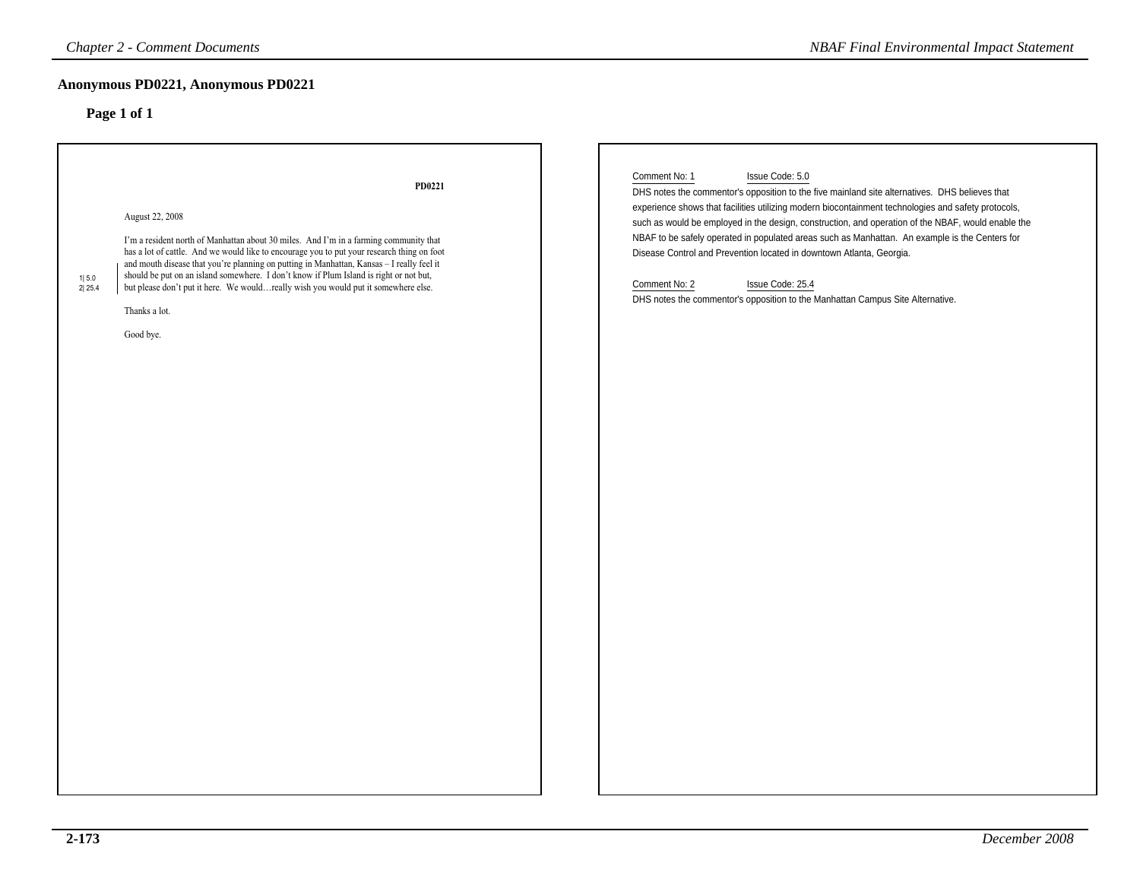| <b>Chapter 2 - Comment Documents</b>                                                                                                                                                                                                                                             | <b>NBAF Final Environmental Impact Statement</b>                                                                                                                                                          |
|----------------------------------------------------------------------------------------------------------------------------------------------------------------------------------------------------------------------------------------------------------------------------------|-----------------------------------------------------------------------------------------------------------------------------------------------------------------------------------------------------------|
| Anonymous PD0221, Anonymous PD0221                                                                                                                                                                                                                                               |                                                                                                                                                                                                           |
| Page 1 of 1                                                                                                                                                                                                                                                                      |                                                                                                                                                                                                           |
|                                                                                                                                                                                                                                                                                  |                                                                                                                                                                                                           |
|                                                                                                                                                                                                                                                                                  |                                                                                                                                                                                                           |
| PD0221                                                                                                                                                                                                                                                                           | Comment No: 1<br>Issue Code: 5.0<br>DHS notes the commentor's opposition to the five mainland site alternatives. DHS believes that                                                                        |
| August 22, 2008                                                                                                                                                                                                                                                                  | experience shows that facilities utilizing modern biocontainment technologies and safety protocols,<br>such as would be employed in the design, construction, and operation of the NBAF, would enable the |
| I'm a resident north of Manhattan about 30 miles. And I'm in a farming community that<br>has a lot of cattle. And we would like to encourage you to put your research thing on foot<br>and mouth disease that you're planning on putting in Manhattan, Kansas - I really feel it | NBAF to be safely operated in populated areas such as Manhattan. An example is the Centers for<br>Disease Control and Prevention located in downtown Atlanta, Georgia.                                    |
| should be put on an island somewhere. I don't know if Plum Island is right or not but,<br>1 5.0<br>but please don't put it here. We wouldreally wish you would put it somewhere else.<br>2 25.4                                                                                  | Comment No: 2<br>Issue Code: 25.4                                                                                                                                                                         |
| Thanks a lot.                                                                                                                                                                                                                                                                    | DHS notes the commentor's opposition to the Manhattan Campus Site Alternative.                                                                                                                            |
| Good bye.                                                                                                                                                                                                                                                                        |                                                                                                                                                                                                           |
|                                                                                                                                                                                                                                                                                  |                                                                                                                                                                                                           |
|                                                                                                                                                                                                                                                                                  |                                                                                                                                                                                                           |
|                                                                                                                                                                                                                                                                                  |                                                                                                                                                                                                           |
|                                                                                                                                                                                                                                                                                  |                                                                                                                                                                                                           |
|                                                                                                                                                                                                                                                                                  |                                                                                                                                                                                                           |
|                                                                                                                                                                                                                                                                                  |                                                                                                                                                                                                           |
|                                                                                                                                                                                                                                                                                  |                                                                                                                                                                                                           |
|                                                                                                                                                                                                                                                                                  |                                                                                                                                                                                                           |
|                                                                                                                                                                                                                                                                                  |                                                                                                                                                                                                           |
|                                                                                                                                                                                                                                                                                  |                                                                                                                                                                                                           |
|                                                                                                                                                                                                                                                                                  |                                                                                                                                                                                                           |
|                                                                                                                                                                                                                                                                                  |                                                                                                                                                                                                           |
|                                                                                                                                                                                                                                                                                  |                                                                                                                                                                                                           |
|                                                                                                                                                                                                                                                                                  |                                                                                                                                                                                                           |
|                                                                                                                                                                                                                                                                                  |                                                                                                                                                                                                           |
|                                                                                                                                                                                                                                                                                  |                                                                                                                                                                                                           |
|                                                                                                                                                                                                                                                                                  |                                                                                                                                                                                                           |
|                                                                                                                                                                                                                                                                                  |                                                                                                                                                                                                           |
|                                                                                                                                                                                                                                                                                  |                                                                                                                                                                                                           |
|                                                                                                                                                                                                                                                                                  |                                                                                                                                                                                                           |
|                                                                                                                                                                                                                                                                                  |                                                                                                                                                                                                           |
|                                                                                                                                                                                                                                                                                  |                                                                                                                                                                                                           |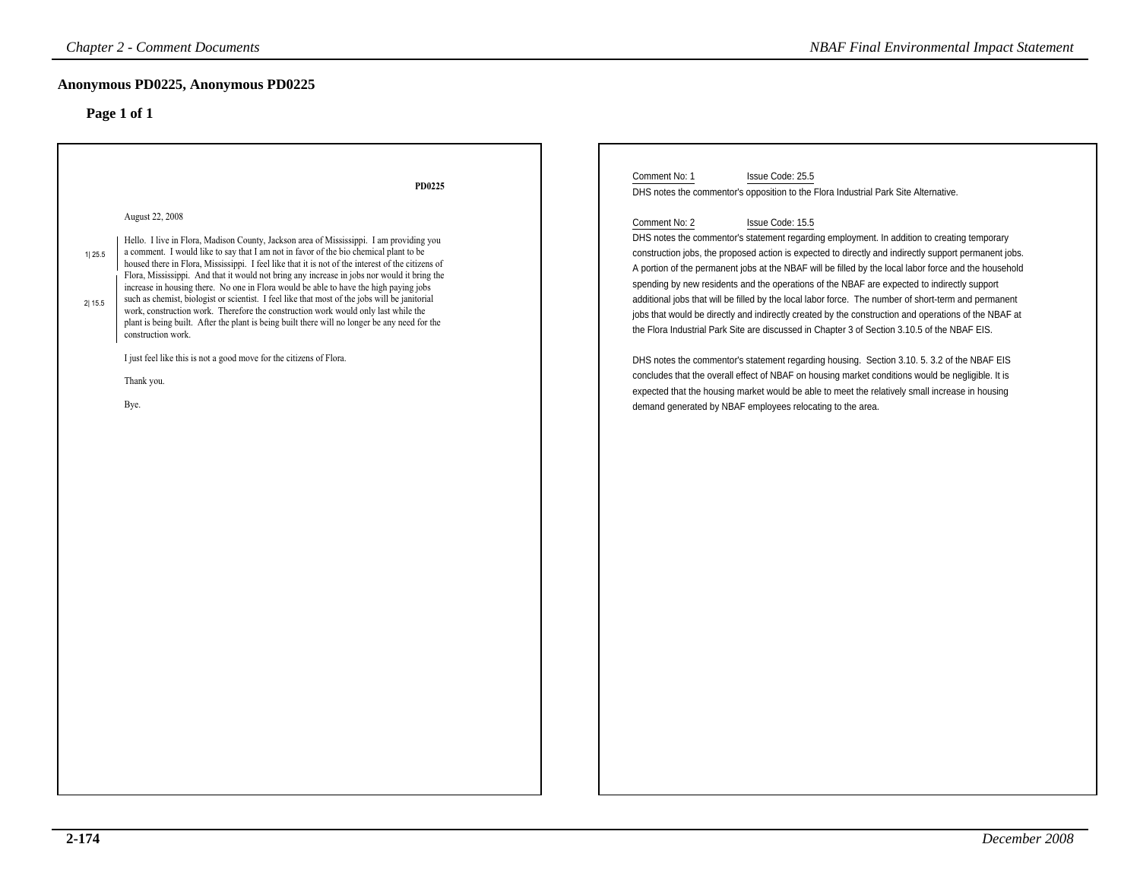| <b>Chapter 2 - Comment Documents</b>                                                                                                                                                                                                                                                                                                                                                                                                                                                                                                                                                                                                                                                                                                                                                                                                                                                                                                      | <b>NBAF Final Environmental Impact Statement</b>                                                                                                                                                                                                                                                                                                                                                                                                                                                                                                                                                                                                                                                                                                                                                                                                                                                                                                                                                                                                                                                                                                                                                                                                                   |
|-------------------------------------------------------------------------------------------------------------------------------------------------------------------------------------------------------------------------------------------------------------------------------------------------------------------------------------------------------------------------------------------------------------------------------------------------------------------------------------------------------------------------------------------------------------------------------------------------------------------------------------------------------------------------------------------------------------------------------------------------------------------------------------------------------------------------------------------------------------------------------------------------------------------------------------------|--------------------------------------------------------------------------------------------------------------------------------------------------------------------------------------------------------------------------------------------------------------------------------------------------------------------------------------------------------------------------------------------------------------------------------------------------------------------------------------------------------------------------------------------------------------------------------------------------------------------------------------------------------------------------------------------------------------------------------------------------------------------------------------------------------------------------------------------------------------------------------------------------------------------------------------------------------------------------------------------------------------------------------------------------------------------------------------------------------------------------------------------------------------------------------------------------------------------------------------------------------------------|
| Anonymous PD0225, Anonymous PD0225<br>Page 1 of 1                                                                                                                                                                                                                                                                                                                                                                                                                                                                                                                                                                                                                                                                                                                                                                                                                                                                                         |                                                                                                                                                                                                                                                                                                                                                                                                                                                                                                                                                                                                                                                                                                                                                                                                                                                                                                                                                                                                                                                                                                                                                                                                                                                                    |
| PD0225<br>August 22, 2008<br>Hello. I live in Flora, Madison County, Jackson area of Mississippi. I am providing you<br>a comment. I would like to say that I am not in favor of the bio chemical plant to be<br>1 25.5<br>housed there in Flora, Mississippi. I feel like that it is not of the interest of the citizens of<br>Flora, Mississippi. And that it would not bring any increase in jobs nor would it bring the<br>increase in housing there. No one in Flora would be able to have the high paying jobs<br>such as chemist, biologist or scientist. I feel like that most of the jobs will be janitorial<br>2 15.5<br>work, construction work. Therefore the construction work would only last while the<br>plant is being built. After the plant is being built there will no longer be any need for the<br>construction work.<br>I just feel like this is not a good move for the citizens of Flora.<br>Thank you.<br>Bye. | Comment No: 1<br>Issue Code: 25.5<br>DHS notes the commentor's opposition to the Flora Industrial Park Site Alternative.<br>Comment No: 2<br>Issue Code: 15.5<br>DHS notes the commentor's statement regarding employment. In addition to creating temporary<br>construction jobs, the proposed action is expected to directly and indirectly support permanent jobs.<br>A portion of the permanent jobs at the NBAF will be filled by the local labor force and the household<br>spending by new residents and the operations of the NBAF are expected to indirectly support<br>additional jobs that will be filled by the local labor force. The number of short-term and permanent<br>jobs that would be directly and indirectly created by the construction and operations of the NBAF at<br>the Flora Industrial Park Site are discussed in Chapter 3 of Section 3.10.5 of the NBAF EIS.<br>DHS notes the commentor's statement regarding housing. Section 3.10. 5. 3.2 of the NBAF EIS<br>concludes that the overall effect of NBAF on housing market conditions would be negligible. It is<br>expected that the housing market would be able to meet the relatively small increase in housing<br>demand generated by NBAF employees relocating to the area. |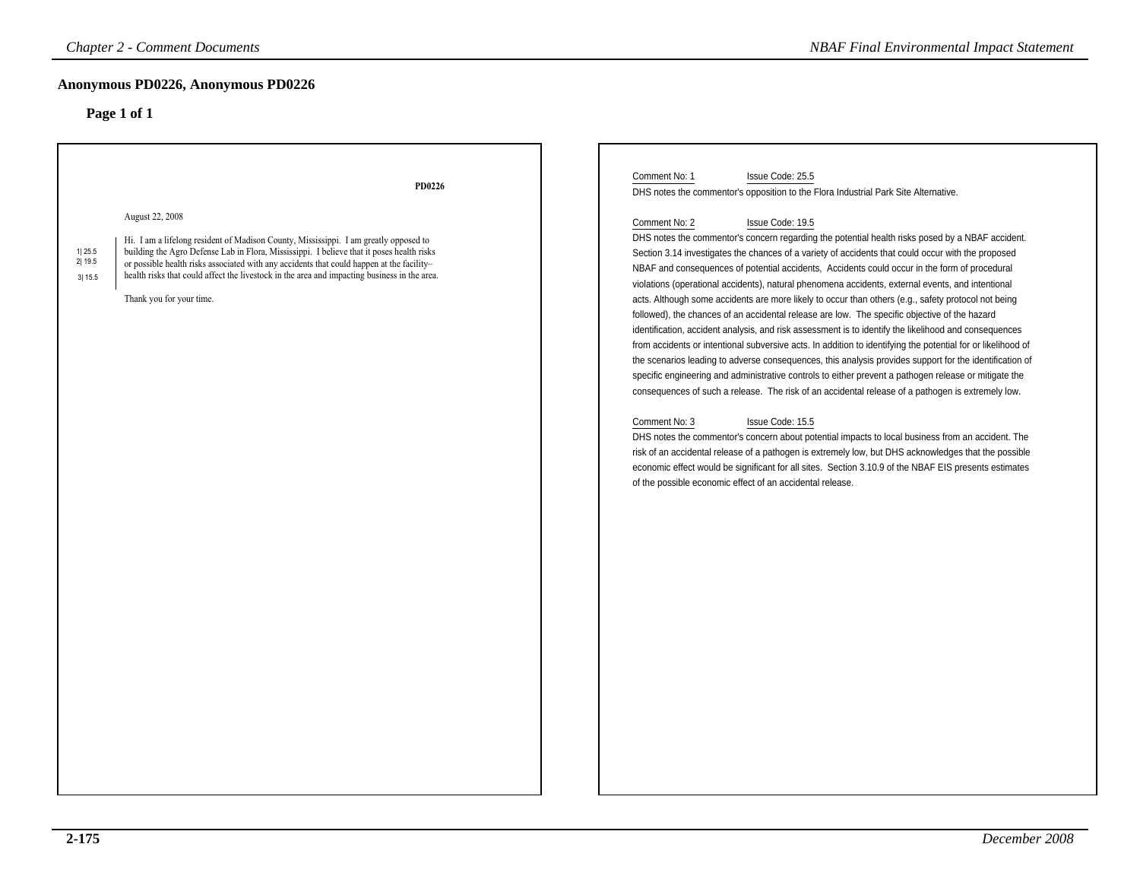### **Anonymous PD0226, Anonymous PD0226**

| <b>Chapter 2 - Comment Documents</b>                                                                                                                                                                                                                                                                                                                                                                                                                                  | <b>NBAF Final Environmental Impact Statement</b>                                                                                                                                                                                                                                                                                                                                                                                                                                                                                                                                                                                                                                                                                                                                                                                                                                                                                                                                                                                                                                                                                                                                                                                                                                                                                                                                                                                                                                                                                                                                                                                                                                                                                                                |
|-----------------------------------------------------------------------------------------------------------------------------------------------------------------------------------------------------------------------------------------------------------------------------------------------------------------------------------------------------------------------------------------------------------------------------------------------------------------------|-----------------------------------------------------------------------------------------------------------------------------------------------------------------------------------------------------------------------------------------------------------------------------------------------------------------------------------------------------------------------------------------------------------------------------------------------------------------------------------------------------------------------------------------------------------------------------------------------------------------------------------------------------------------------------------------------------------------------------------------------------------------------------------------------------------------------------------------------------------------------------------------------------------------------------------------------------------------------------------------------------------------------------------------------------------------------------------------------------------------------------------------------------------------------------------------------------------------------------------------------------------------------------------------------------------------------------------------------------------------------------------------------------------------------------------------------------------------------------------------------------------------------------------------------------------------------------------------------------------------------------------------------------------------------------------------------------------------------------------------------------------------|
| Anonymous PD0226, Anonymous PD0226<br>Page 1 of 1                                                                                                                                                                                                                                                                                                                                                                                                                     |                                                                                                                                                                                                                                                                                                                                                                                                                                                                                                                                                                                                                                                                                                                                                                                                                                                                                                                                                                                                                                                                                                                                                                                                                                                                                                                                                                                                                                                                                                                                                                                                                                                                                                                                                                 |
| PD0226<br>August 22, 2008<br>Hi. I am a lifelong resident of Madison County, Mississippi. I am greatly opposed to<br>1125.5<br>building the Agro Defense Lab in Flora, Mississippi. I believe that it poses health risks<br>2 19.5<br>or possible health risks associated with any accidents that could happen at the facility-<br>health risks that could affect the livestock in the area and impacting business in the area.<br>3 15.5<br>Thank you for your time. | Comment No: 1<br>Issue Code: 25.5<br>DHS notes the commentor's opposition to the Flora Industrial Park Site Alternative.<br>Issue Code: 19.5<br>Comment No: 2<br>DHS notes the commentor's concern regarding the potential health risks posed by a NBAF accident.<br>Section 3.14 investigates the chances of a variety of accidents that could occur with the proposed<br>NBAF and consequences of potential accidents, Accidents could occur in the form of procedural<br>violations (operational accidents), natural phenomena accidents, external events, and intentional<br>acts. Although some accidents are more likely to occur than others (e.g., safety protocol not being<br>followed), the chances of an accidental release are low. The specific objective of the hazard<br>identification, accident analysis, and risk assessment is to identify the likelihood and consequences<br>from accidents or intentional subversive acts. In addition to identifying the potential for or likelihood of<br>the scenarios leading to adverse consequences, this analysis provides support for the identification of<br>specific engineering and administrative controls to either prevent a pathogen release or mitigate the<br>consequences of such a release. The risk of an accidental release of a pathogen is extremely low.<br>Comment No: 3<br>Issue Code: 15.5<br>DHS notes the commentor's concern about potential impacts to local business from an accident. The<br>risk of an accidental release of a pathogen is extremely low, but DHS acknowledges that the possible<br>economic effect would be significant for all sites. Section 3.10.9 of the NBAF EIS presents estimates<br>of the possible economic effect of an accidental release. |
|                                                                                                                                                                                                                                                                                                                                                                                                                                                                       |                                                                                                                                                                                                                                                                                                                                                                                                                                                                                                                                                                                                                                                                                                                                                                                                                                                                                                                                                                                                                                                                                                                                                                                                                                                                                                                                                                                                                                                                                                                                                                                                                                                                                                                                                                 |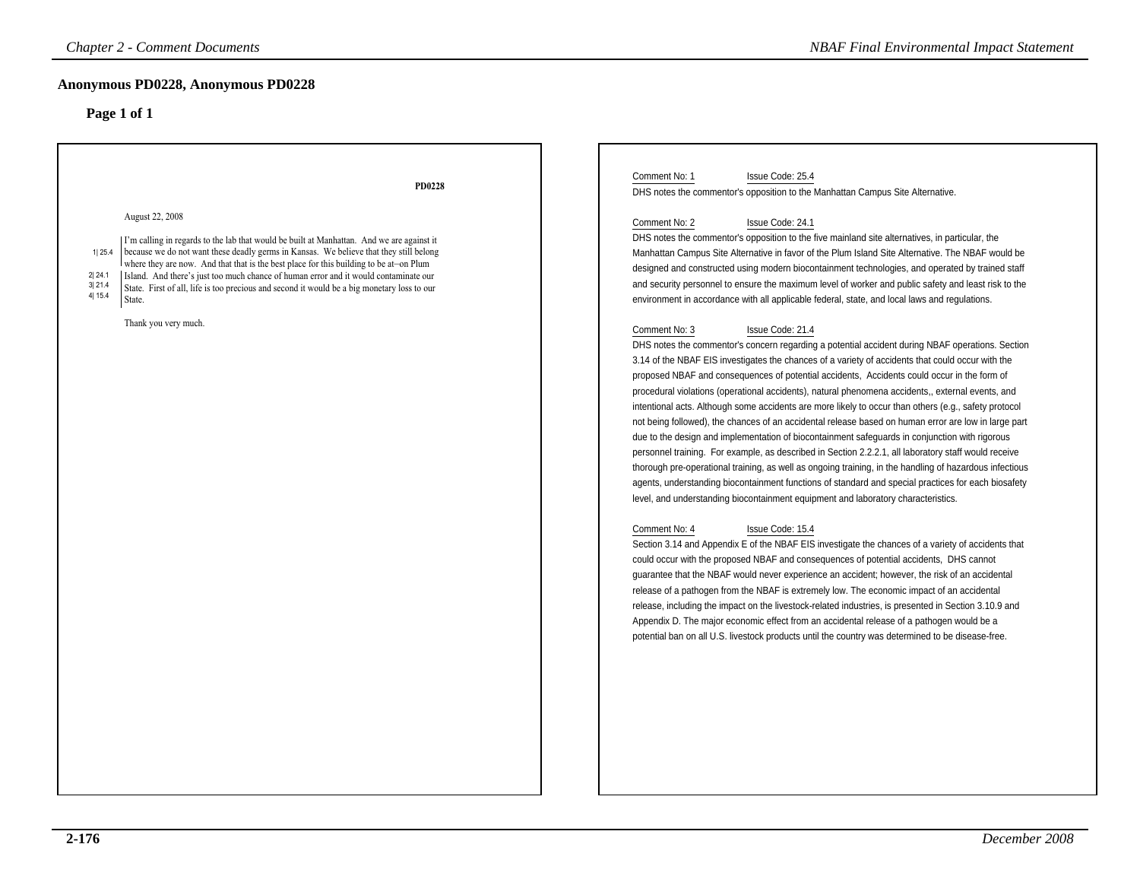| Anonymous PD0228, Anonymous PD0228<br>Page 1 of 1<br>Comment No: 1<br>Issue Code: 25.4<br>PD0228<br>DHS notes the commentor's opposition to the Manhattan Campus Site Alternative.<br>August 22, 2008<br>Comment No: 2<br>Issue Code: 24.1<br>DHS notes the commentor's opposition to the five mainland site alternatives, in particular, the<br>  I'm calling in regards to the lab that would be built at Manhattan. And we are against it<br>because we do not want these deadly germs in Kansas. We believe that they still belong<br>1 25.4<br>Manhattan Campus Site Alternative in favor of the Plum Island Site Alternative. The NBAF would be<br>where they are now. And that that is the best place for this building to be at on Plum<br>designed and constructed using modern biocontainment technologies, and operated by trained staff<br>Island. And there's just too much chance of human error and it would contaminate our<br>2 24.1<br>and security personnel to ensure the maximum level of worker and public safety and least risk to the<br>3 21.4<br>State. First of all, life is too precious and second it would be a big monetary loss to our<br>4 15.4<br>environment in accordance with all applicable federal, state, and local laws and regulations.<br>State.<br>Thank you very much.<br>Comment No: 3<br>Issue Code: 21.4<br>DHS notes the commentor's concern regarding a potential accident during NBAF operations. Section<br>3.14 of the NBAF EIS investigates the chances of a variety of accidents that could occur with the<br>proposed NBAF and consequences of potential accidents, Accidents could occur in the form of<br>procedural violations (operational accidents), natural phenomena accidents,, external events, and<br>intentional acts. Although some accidents are more likely to occur than others (e.g., safety protocol<br>not being followed), the chances of an accidental release based on human error are low in large part<br>due to the design and implementation of biocontainment safeguards in conjunction with rigorous<br>personnel training. For example, as described in Section 2.2.2.1, all laboratory staff would receive<br>thorough pre-operational training, as well as ongoing training, in the handling of hazardous infectious<br>agents, understanding biocontainment functions of standard and special practices for each biosafety<br>level, and understanding biocontainment equipment and laboratory characteristics.<br>Comment No: 4<br>Issue Code: 15.4<br>Section 3.14 and Appendix E of the NBAF EIS investigate the chances of a variety of accidents that<br>could occur with the proposed NBAF and consequences of potential accidents, DHS cannot<br>guarantee that the NBAF would never experience an accident; however, the risk of an accidental<br>release of a pathogen from the NBAF is extremely low. The economic impact of an accidental<br>release, including the impact on the livestock-related industries, is presented in Section 3.10.9 and<br>Appendix D. The major economic effect from an accidental release of a pathogen would be a<br>potential ban on all U.S. livestock products until the country was determined to be disease-free. | <b>Chapter 2 - Comment Documents</b> | <b>NBAF Final Environmental Impact Statement</b> |
|---------------------------------------------------------------------------------------------------------------------------------------------------------------------------------------------------------------------------------------------------------------------------------------------------------------------------------------------------------------------------------------------------------------------------------------------------------------------------------------------------------------------------------------------------------------------------------------------------------------------------------------------------------------------------------------------------------------------------------------------------------------------------------------------------------------------------------------------------------------------------------------------------------------------------------------------------------------------------------------------------------------------------------------------------------------------------------------------------------------------------------------------------------------------------------------------------------------------------------------------------------------------------------------------------------------------------------------------------------------------------------------------------------------------------------------------------------------------------------------------------------------------------------------------------------------------------------------------------------------------------------------------------------------------------------------------------------------------------------------------------------------------------------------------------------------------------------------------------------------------------------------------------------------------------------------------------------------------------------------------------------------------------------------------------------------------------------------------------------------------------------------------------------------------------------------------------------------------------------------------------------------------------------------------------------------------------------------------------------------------------------------------------------------------------------------------------------------------------------------------------------------------------------------------------------------------------------------------------------------------------------------------------------------------------------------------------------------------------------------------------------------------------------------------------------------------------------------------------------------------------------------------------------------------------------------------------------------------------------------------------------------------------------------------------------------------------------------------------------------------------------------------------------------------------------------------------------------------------------------------------------|--------------------------------------|--------------------------------------------------|
|                                                                                                                                                                                                                                                                                                                                                                                                                                                                                                                                                                                                                                                                                                                                                                                                                                                                                                                                                                                                                                                                                                                                                                                                                                                                                                                                                                                                                                                                                                                                                                                                                                                                                                                                                                                                                                                                                                                                                                                                                                                                                                                                                                                                                                                                                                                                                                                                                                                                                                                                                                                                                                                                                                                                                                                                                                                                                                                                                                                                                                                                                                                                                                                                                                                         |                                      |                                                  |
|                                                                                                                                                                                                                                                                                                                                                                                                                                                                                                                                                                                                                                                                                                                                                                                                                                                                                                                                                                                                                                                                                                                                                                                                                                                                                                                                                                                                                                                                                                                                                                                                                                                                                                                                                                                                                                                                                                                                                                                                                                                                                                                                                                                                                                                                                                                                                                                                                                                                                                                                                                                                                                                                                                                                                                                                                                                                                                                                                                                                                                                                                                                                                                                                                                                         |                                      |                                                  |